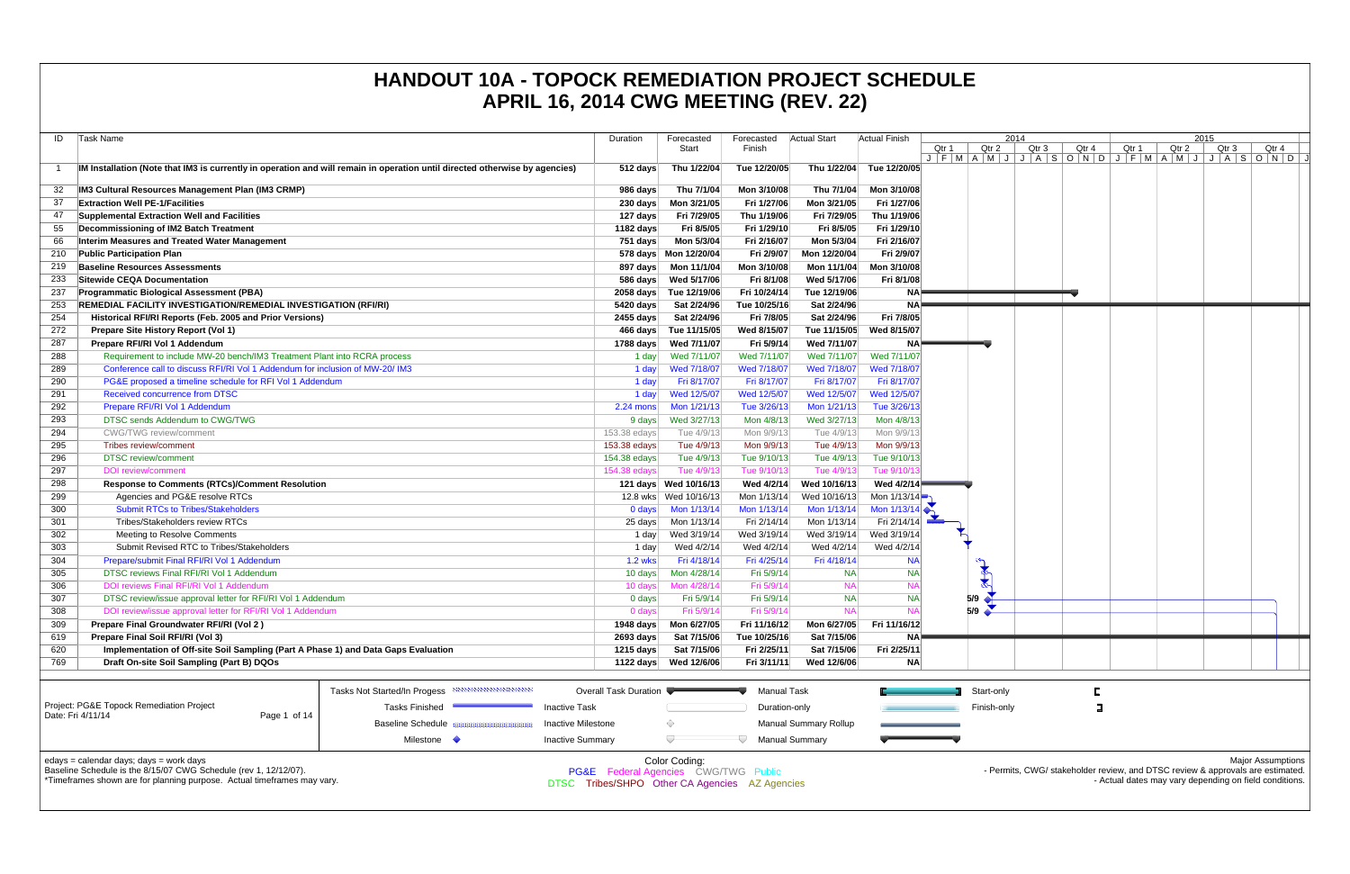| ID  | Task Name                                                                                                                                                                              |                              | Duration                                                                               | Forecasted<br>Start   | Forecasted<br>Finish | <b>Actual Start</b>          | Actual Finish          | Qtr 1               | Qtr                        |
|-----|----------------------------------------------------------------------------------------------------------------------------------------------------------------------------------------|------------------------------|----------------------------------------------------------------------------------------|-----------------------|----------------------|------------------------------|------------------------|---------------------|----------------------------|
| -1  | IM Installation (Note that IM3 is currently in operation and will remain in operation until directed otherwise by agencies)                                                            |                              | 512 days                                                                               | Thu 1/22/04           | Tue 12/20/05         | Thu 1/22/04                  | Tue 12/20/05           | $J$ $F$ $M$ $A$ $M$ |                            |
| 32  | IM3 Cultural Resources Management Plan (IM3 CRMP)                                                                                                                                      |                              | 986 days                                                                               | Thu 7/1/04            | Mon 3/10/08          | Thu 7/1/04                   | Mon 3/10/08            |                     |                            |
| 37  | <b>Extraction Well PE-1/Facilities</b>                                                                                                                                                 |                              | 230 days                                                                               | Mon 3/21/05           | Fri 1/27/06          | Mon 3/21/05                  | Fri 1/27/06            |                     |                            |
| 47  | Supplemental Extraction Well and Facilities                                                                                                                                            |                              | 127 days                                                                               | Fri 7/29/05           | Thu 1/19/06          | Fri 7/29/05                  | Thu 1/19/06            |                     |                            |
| 55  |                                                                                                                                                                                        |                              | 1182 days                                                                              | Fri 8/5/05            | Fri 1/29/10          | Fri 8/5/05                   | Fri 1/29/10            |                     |                            |
| 66  | Decommissioning of IM2 Batch Treatment<br>Interim Measures and Treated Water Management                                                                                                |                              | 751 days                                                                               | Mon 5/3/04            | Fri 2/16/07          | Mon 5/3/04                   | Fri 2/16/07            |                     |                            |
| 210 |                                                                                                                                                                                        |                              |                                                                                        |                       |                      |                              | Fri 2/9/07             |                     |                            |
|     | <b>Public Participation Plan</b><br><b>Baseline Resources Assessments</b>                                                                                                              |                              |                                                                                        | 578 days Mon 12/20/04 | Fri 2/9/07           | Mon 12/20/04                 |                        |                     |                            |
| 219 |                                                                                                                                                                                        |                              | 897 days                                                                               | Mon 11/1/04           | Mon 3/10/08          | Mon 11/1/04                  | Mon 3/10/08            |                     |                            |
| 233 | Sitewide CEQA Documentation                                                                                                                                                            |                              | 586 days                                                                               | Wed 5/17/06           | Fri 8/1/08           | Wed 5/17/06                  | Fri 8/1/08             |                     |                            |
| 237 | <b>Programmatic Biological Assessment (PBA)</b>                                                                                                                                        |                              | $2058$ days                                                                            | Tue 12/19/06          | Fri 10/24/14         | Tue 12/19/06                 | <b>NA</b>              |                     |                            |
| 253 | <b>REMEDIAL FACILITY INVESTIGATION/REMEDIAL INVESTIGATION (RFI/RI)</b>                                                                                                                 |                              | 5420 days                                                                              | Sat 2/24/96           | Tue 10/25/16         | Sat 2/24/96                  | <b>NA</b>              |                     |                            |
| 254 | Historical RFI/RI Reports (Feb. 2005 and Prior Versions)                                                                                                                               |                              | 2455 days                                                                              | Sat 2/24/96           | Fri 7/8/05           | Sat 2/24/96                  | Fri 7/8/05             |                     |                            |
| 272 | Prepare Site History Report (Vol 1)                                                                                                                                                    |                              | 466 days                                                                               | Tue 11/15/05          | Wed 8/15/07          | Tue 11/15/05                 | Wed 8/15/07            |                     |                            |
| 287 | Prepare RFI/RI Vol 1 Addendum                                                                                                                                                          |                              | 1788 days                                                                              | Wed 7/11/07           | Fri 5/9/14           | Wed 7/11/07                  | <b>NA</b>              |                     |                            |
| 288 | Requirement to include MW-20 bench/IM3 Treatment Plant into RCRA process                                                                                                               |                              | 1 day                                                                                  | Wed 7/11/07           | Wed 7/11/07          | Wed 7/11/07                  | Wed 7/11/07            |                     |                            |
| 289 | Conference call to discuss RFI/RI Vol 1 Addendum for inclusion of MW-20/ IM3                                                                                                           |                              | 1 day                                                                                  | Wed 7/18/07           | Wed 7/18/07          | Wed 7/18/07                  | Wed 7/18/07            |                     |                            |
| 290 | PG&E proposed a timeline schedule for RFI Vol 1 Addendum                                                                                                                               | 1 day                        | Fri 8/17/07                                                                            | Fri 8/17/07           | Fri 8/17/07          | Fri 8/17/07                  |                        |                     |                            |
| 291 | Received concurrence from DTSC                                                                                                                                                         | 1 day                        | Wed 12/5/07                                                                            | Wed 12/5/07           | Wed 12/5/07          | Wed 12/5/07                  |                        |                     |                            |
| 292 | Prepare RFI/RI Vol 1 Addendum                                                                                                                                                          | 2.24 mons                    | Mon 1/21/13                                                                            | Tue 3/26/13           | Mon 1/21/13          | Tue 3/26/13                  |                        |                     |                            |
| 293 | DTSC sends Addendum to CWG/TWG                                                                                                                                                         | 9 days                       | Wed 3/27/13                                                                            | Mon 4/8/13            | Wed 3/27/13          | Mon 4/8/13                   |                        |                     |                            |
| 294 | <b>CWG/TWG</b> review/comment                                                                                                                                                          | 153.38 edays                 | Tue 4/9/13                                                                             | Mon 9/9/13            | Tue 4/9/13           | Mon 9/9/13                   |                        |                     |                            |
| 295 | Tribes review/comment                                                                                                                                                                  |                              | 153.38 edays                                                                           | Tue 4/9/13            | Mon 9/9/13           | Tue 4/9/13                   | Mon 9/9/13             |                     |                            |
| 296 | <b>DTSC</b> review/comment                                                                                                                                                             |                              | 154.38 edays                                                                           | Tue 4/9/13            | Tue 9/10/13          | Tue 4/9/13                   | Tue 9/10/13            |                     |                            |
| 297 | <b>DOI</b> review/comment                                                                                                                                                              |                              | 154.38 edays                                                                           | Tue 4/9/13            | Tue 9/10/13          | Tue 4/9/13                   | Tue 9/10/13            |                     |                            |
| 298 | <b>Response to Comments (RTCs)/Comment Resolution</b>                                                                                                                                  |                              |                                                                                        | 121 days Wed 10/16/13 | Wed 4/2/14           | Wed 10/16/13                 | Wed 4/2/14             |                     |                            |
| 299 | Agencies and PG&E resolve RTCs                                                                                                                                                         |                              |                                                                                        | 12.8 wks Wed 10/16/13 | Mon 1/13/14          | Wed 10/16/13                 | Mon 1/13/14            |                     |                            |
| 300 | <b>Submit RTCs to Tribes/Stakeholders</b>                                                                                                                                              |                              | 0 days                                                                                 | Mon 1/13/14           | Mon 1/13/14          | Mon 1/13/14                  | Mon $1/13/14$          |                     |                            |
| 301 | Tribes/Stakeholders review RTCs                                                                                                                                                        |                              | 25 days                                                                                | Mon 1/13/14           | Fri 2/14/14          | Mon 1/13/14                  | Fri 2/14/14            |                     |                            |
| 302 | Meeting to Resolve Comments                                                                                                                                                            |                              | 1 day                                                                                  | Wed 3/19/14           | Wed 3/19/14          | Wed 3/19/14                  | Wed 3/19/14            |                     |                            |
| 303 | Submit Revised RTC to Tribes/Stakeholders                                                                                                                                              |                              | 1 day                                                                                  | Wed 4/2/14            | Wed 4/2/14           | Wed 4/2/14                   | Wed 4/2/14             |                     |                            |
| 304 | Prepare/submit Final RFI/RI Vol 1 Addendum                                                                                                                                             |                              | <b>1.2 wks</b>                                                                         | Fri 4/18/14           | Fri 4/25/14          | Fri 4/18/14                  | <b>NA</b>              |                     |                            |
| 305 | DTSC reviews Final RFI/RI Vol 1 Addendum                                                                                                                                               |                              | 10 days                                                                                | Mon 4/28/14           | Fri 5/9/14           | <b>NA</b>                    | <b>NA</b>              |                     | $9 - 9$                    |
|     | DOI reviews Final RFI/RI Vol 1 Addendum                                                                                                                                                |                              |                                                                                        |                       |                      | <b>NA</b>                    | <b>NA</b>              |                     |                            |
| 306 |                                                                                                                                                                                        |                              | 10 days                                                                                | Mon 4/28/14           | Fri 5/9/14           |                              |                        |                     |                            |
| 307 | DTSC review/issue approval letter for RFI/RI Vol 1 Addendum                                                                                                                            |                              | 0 days                                                                                 | Fri 5/9/14            | Fri 5/9/14           | <b>NA</b><br><b>NA</b>       | <b>NA</b><br><b>NA</b> |                     | $5/9$ $\rightarrow$<br>5/9 |
| 308 | DOI review/issue approval letter for RFI/RI Vol 1 Addendum                                                                                                                             |                              | 0 days                                                                                 | Fri 5/9/14            | Fri 5/9/14           |                              |                        |                     |                            |
| 309 | Prepare Final Groundwater RFI/RI (Vol 2)                                                                                                                                               |                              | <b>1948 days</b>                                                                       | Mon 6/27/05           | Fri 11/16/12         | Mon 6/27/05                  | Fri 11/16/12           |                     |                            |
| 619 | Prepare Final Soil RFI/RI (Vol 3)                                                                                                                                                      |                              | $2693$ days                                                                            | Sat 7/15/06           | Tue 10/25/16         | Sat 7/15/06                  | <b>NA</b>              |                     |                            |
| 620 | Implementation of Off-site Soil Sampling (Part A Phase 1) and Data Gaps Evaluation                                                                                                     |                              | 1215 days                                                                              | Sat 7/15/06           | Fri 2/25/11          | Sat 7/15/06                  | Fri 2/25/11            |                     |                            |
| 769 | Draft On-site Soil Sampling (Part B) DQOs                                                                                                                                              |                              | 1122 days                                                                              | Wed 12/6/06           | Fri 3/11/11          | Wed 12/6/06                  | <b>NA</b>              |                     |                            |
|     |                                                                                                                                                                                        | Tasks Not Started/In Progess | <b>Overall Task Duration</b>                                                           |                       | Manual Task          |                              |                        |                     | Start-                     |
|     | Project: PG&E Topock Remediation Project                                                                                                                                               | <b>Tasks Finished</b>        | <b>Inactive Task</b>                                                                   |                       | Duration-only        |                              |                        |                     | Finish                     |
|     | Date: Fri 4/11/14<br>Page 1 of 14                                                                                                                                                      | <b>Baseline Schedule</b>     | <b>Inactive Milestone</b>                                                              | ◇                     |                      | <b>Manual Summary Rollup</b> |                        |                     |                            |
|     |                                                                                                                                                                                        |                              |                                                                                        |                       |                      |                              |                        |                     |                            |
|     |                                                                                                                                                                                        | Milestone •                  | <b>Inactive Summary</b>                                                                |                       |                      | <b>Manual Summary</b>        |                        |                     |                            |
|     | edays = calendar days; days = work days<br>Baseline Schedule is the 8/15/07 CWG Schedule (rev 1, 12/12/07).<br>*Timeframes shown are for planning purpose. Actual timeframes may vary. |                              | PG&E Federal Agencies CWG/TWG Public<br>DTSC Tribes/SHPO Other CA Agencies AZ Agencies | Color Coding:         |                      |                              |                        |                     |                            |

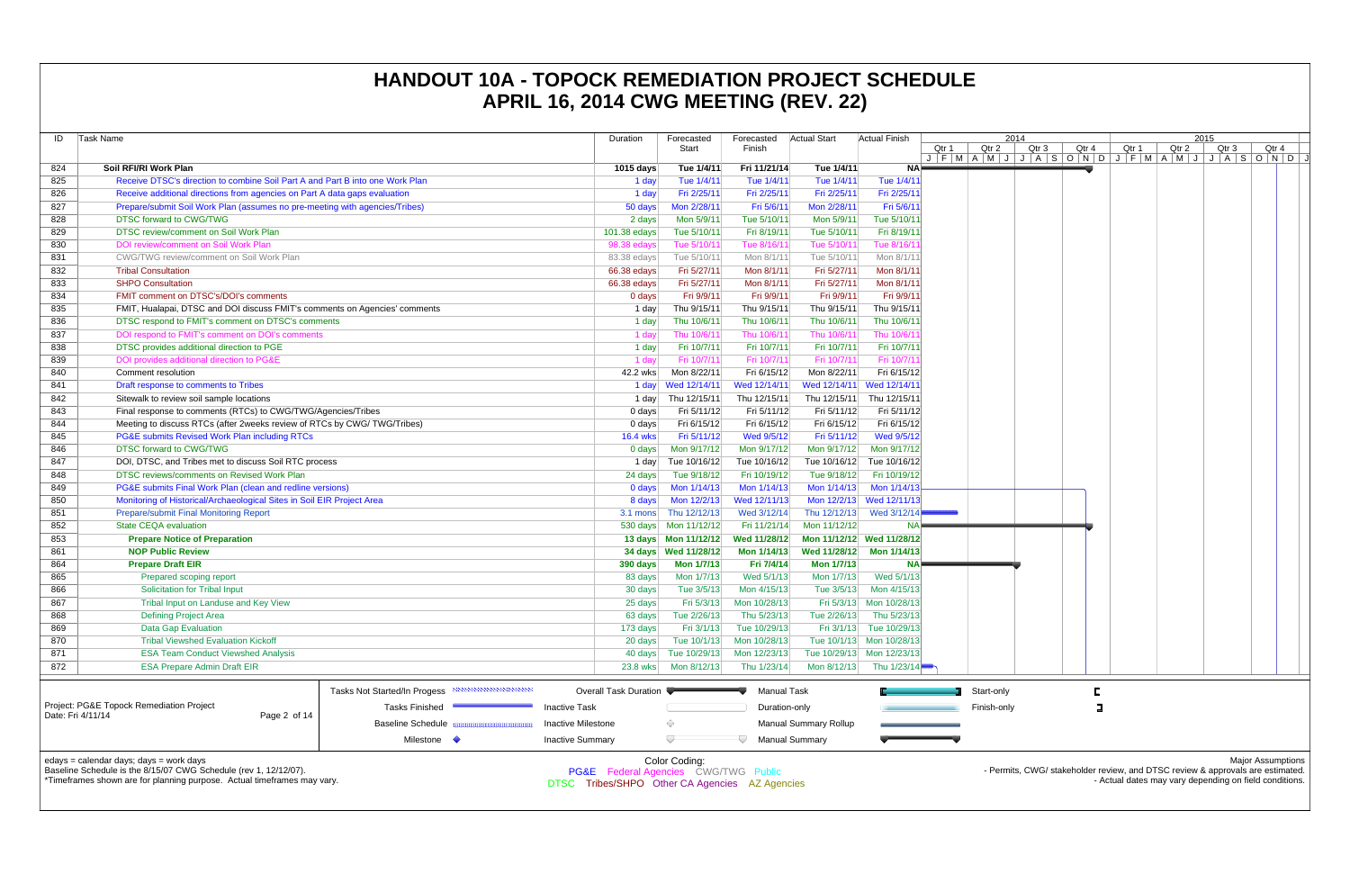| ID  | Task Name                                                                                                                                                                              |                                                       | Duration                                                                               | Forecasted<br>Start       | Forecasted<br>Finish | <b>Actual Start</b>   | Actual Finish             | Qtr 1<br>$J$ $F$ $M$ $A$ $M$ | Qtr 2    |
|-----|----------------------------------------------------------------------------------------------------------------------------------------------------------------------------------------|-------------------------------------------------------|----------------------------------------------------------------------------------------|---------------------------|----------------------|-----------------------|---------------------------|------------------------------|----------|
| 824 | Soil RFI/RI Work Plan                                                                                                                                                                  |                                                       | 1015 days                                                                              | Tue 1/4/11                | Fri 11/21/14         | Tue 1/4/11            | NA⊧                       |                              |          |
| 825 | Receive DTSC's direction to combine Soil Part A and Part B into one Work Plan                                                                                                          |                                                       | 1 day                                                                                  | Tue 1/4/11                | Tue 1/4/11           | Tue 1/4/11            | Tue 1/4/11                |                              |          |
| 826 | Receive additional directions from agencies on Part A data gaps evaluation                                                                                                             |                                                       | 1 day                                                                                  | Fri 2/25/11               | Fri 2/25/11          | Fri 2/25/11           | Fri 2/25/11               |                              |          |
| 827 | Prepare/submit Soil Work Plan (assumes no pre-meeting with agencies/Tribes)                                                                                                            |                                                       | 50 days                                                                                | Mon 2/28/11               | Fri 5/6/11           | Mon 2/28/11           | Fri 5/6/11                |                              |          |
| 828 | <b>DTSC forward to CWG/TWG</b>                                                                                                                                                         |                                                       | 2 days                                                                                 | Mon 5/9/11                | Tue 5/10/11          | Mon 5/9/11            | Tue 5/10/11               |                              |          |
| 829 | DTSC review/comment on Soil Work Plan                                                                                                                                                  |                                                       | 101.38 edays                                                                           | Tue 5/10/11               | Fri 8/19/11          | Tue 5/10/11           | Fri 8/19/11               |                              |          |
| 830 | DOI review/comment on Soil Work Plan                                                                                                                                                   |                                                       | 98.38 edays                                                                            | Tue 5/10/11               | Tue 8/16/11          | Tue 5/10/11           | Tue 8/16/1                |                              |          |
| 831 | CWG/TWG review/comment on Soil Work Plan                                                                                                                                               |                                                       | 83.38 edays                                                                            | Tue 5/10/11               | Mon 8/1/11           | Tue 5/10/11           | Mon 8/1/11                |                              |          |
| 832 | <b>Tribal Consultation</b>                                                                                                                                                             |                                                       | 66.38 edays                                                                            | Fri 5/27/11               | Mon 8/1/11           | Fri 5/27/11           | Mon 8/1/11                |                              |          |
| 833 | <b>SHPO Consultation</b>                                                                                                                                                               |                                                       | 66.38 edays                                                                            | Fri 5/27/11               | Mon 8/1/11           | Fri 5/27/11           | Mon 8/1/11                |                              |          |
| 834 | FMIT comment on DTSC's/DOI's comments                                                                                                                                                  |                                                       | 0 days                                                                                 | Fri 9/9/11                | Fri 9/9/11           | Fri 9/9/11            | Fri 9/9/11                |                              |          |
| 835 | FMIT, Hualapai, DTSC and DOI discuss FMIT's comments on Agencies' comments                                                                                                             |                                                       | 1 day                                                                                  | Thu 9/15/11               | Thu 9/15/11          | Thu 9/15/11           | Thu 9/15/11               |                              |          |
| 836 | DTSC respond to FMIT's comment on DTSC's comments                                                                                                                                      |                                                       | 1 day                                                                                  | Thu 10/6/11               | Thu 10/6/11          | Thu 10/6/11           | Thu 10/6/11               |                              |          |
| 837 | DOI respond to FMIT's comment on DOI's comments                                                                                                                                        |                                                       | 1 day                                                                                  | Thu 10/6/11               | Thu 10/6/11          | Thu 10/6/11           | Thu 10/6/1                |                              |          |
| 838 | DTSC provides additional direction to PGE                                                                                                                                              |                                                       | 1 day                                                                                  | Fri 10/7/11               | Fri 10/7/11          | Fri 10/7/11           | Fri 10/7/11               |                              |          |
| 839 | DOI provides additional direction to PG&E                                                                                                                                              |                                                       | 1 day                                                                                  | Fri 10/7/11               | Fri 10/7/11          | Fri 10/7/11           | Fri 10/7/1                |                              |          |
| 840 | Comment resolution                                                                                                                                                                     |                                                       | 42.2 wks                                                                               | Mon 8/22/11               | Fri 6/15/12          | Mon 8/22/11           | Fri 6/15/12               |                              |          |
| 841 | Draft response to comments to Tribes                                                                                                                                                   |                                                       |                                                                                        |                           | Wed 12/14/11         | Wed 12/14/11          | Wed 12/14/11              |                              |          |
| 842 | Sitewalk to review soil sample locations                                                                                                                                               |                                                       | 1 day                                                                                  | Thu 12/15/11              | Thu 12/15/11         | Thu 12/15/11          | Thu 12/15/11              |                              |          |
| 843 | Final response to comments (RTCs) to CWG/TWG/Agencies/Tribes                                                                                                                           |                                                       | 0 days                                                                                 | Fri 5/11/12               | Fri 5/11/12          | Fri 5/11/12           | Fri 5/11/12               |                              |          |
| 844 | Meeting to discuss RTCs (after 2weeks review of RTCs by CWG/ TWG/Tribes)                                                                                                               |                                                       | 0 days                                                                                 | Fri 6/15/12               | Fri 6/15/12          | Fri 6/15/12           | Fri 6/15/12               |                              |          |
| 845 | PG&E submits Revised Work Plan including RTCs                                                                                                                                          |                                                       | <b>16.4 wks</b>                                                                        | Fri 5/11/12               | Wed 9/5/12           | Fri 5/11/12           | Wed 9/5/12                |                              |          |
| 846 | <b>DTSC forward to CWG/TWG</b>                                                                                                                                                         |                                                       | 0 days                                                                                 | Mon 9/17/12               | Mon 9/17/12          | Mon 9/17/12           | Mon 9/17/12               |                              |          |
| 847 | DOI, DTSC, and Tribes met to discuss Soil RTC process                                                                                                                                  |                                                       | 1 day                                                                                  | Tue 10/16/12              | Tue 10/16/12         | Tue 10/16/12          | Tue 10/16/12              |                              |          |
| 848 | DTSC reviews/comments on Revised Work Plan                                                                                                                                             |                                                       | 24 days                                                                                | Tue 9/18/12               | Fri 10/19/12         | Tue 9/18/12           | Fri 10/19/12              |                              |          |
| 849 | PG&E submits Final Work Plan (clean and redline versions)                                                                                                                              |                                                       | 0 days                                                                                 | Mon 1/14/13               | Mon 1/14/13          | Mon 1/14/13           | Mon 1/14/13               |                              |          |
| 850 | Monitoring of Historical/Archaeological Sites in Soil EIR Project Area                                                                                                                 |                                                       | 8 days                                                                                 | Mon 12/2/13               | Wed 12/11/13         | Mon 12/2/13           | Wed 12/11/13              |                              |          |
| 851 | Prepare/submit Final Monitoring Report                                                                                                                                                 |                                                       | 3.1 mons                                                                               | Thu 12/12/13              | Wed 3/12/14          | Thu 12/12/13          | Wed 3/12/14               |                              |          |
| 852 | <b>State CEQA evaluation</b>                                                                                                                                                           |                                                       |                                                                                        |                           | Fri 11/21/14         | Mon 11/12/12          | <b>NA</b>                 |                              |          |
| 853 | <b>Prepare Notice of Preparation</b>                                                                                                                                                   |                                                       |                                                                                        |                           | Wed 11/28/12         |                       | Mon 11/12/12 Wed 11/28/12 |                              |          |
| 861 | <b>NOP Public Review</b>                                                                                                                                                               |                                                       |                                                                                        |                           | Mon 1/14/13          | Wed 11/28/12          | Mon 1/14/13               |                              |          |
| 864 | <b>Prepare Draft EIR</b>                                                                                                                                                               |                                                       | 390 days                                                                               | <b>Mon 1/7/13</b>         | Fri 7/4/14           | <b>Mon 1/7/13</b>     | <b>NA</b>                 |                              |          |
| 865 | Prepared scoping report                                                                                                                                                                |                                                       | 83 days                                                                                | Mon 1/7/13                | Wed 5/1/13           | Mon 1/7/13            | Wed 5/1/13                |                              |          |
| 866 | <b>Solicitation for Tribal Input</b>                                                                                                                                                   |                                                       | 30 days                                                                                | Tue 3/5/13                | Mon 4/15/13          | Tue 3/5/13            | Mon 4/15/13               |                              |          |
| 867 | Tribal Input on Landuse and Key View                                                                                                                                                   |                                                       |                                                                                        | Fri 5/3/13                | Mon 10/28/13         | Fri 5/3/13            | Mon 10/28/13              |                              |          |
| 868 | <b>Defining Project Area</b>                                                                                                                                                           |                                                       | 25 days<br>63 days                                                                     | Tue 2/26/13               | Thu 5/23/13          | Tue 2/26/13           | Thu 5/23/13               |                              |          |
| 869 | <b>Data Gap Evaluation</b>                                                                                                                                                             |                                                       |                                                                                        |                           | Tue 10/29/13         | Fri 3/1/13            | Tue 10/29/13              |                              |          |
| 870 | <b>Tribal Viewshed Evaluation Kickoff</b>                                                                                                                                              |                                                       | 173 days<br>20 days                                                                    | Fri 3/1/13<br>Tue 10/1/13 | Mon 10/28/13         | Tue 10/1/13           | Mon 10/28/13              |                              |          |
|     |                                                                                                                                                                                        |                                                       |                                                                                        |                           |                      |                       |                           |                              |          |
| 871 | <b>ESA Team Conduct Viewshed Analysis</b>                                                                                                                                              |                                                       | 40 days                                                                                | Tue 10/29/13              | Mon 12/23/13         | Tue 10/29/13          | Mon 12/23/13              |                              |          |
| 872 | <b>ESA Prepare Admin Draft EIR</b>                                                                                                                                                     |                                                       | 23.8 wks                                                                               | Mon 8/12/13               | Thu 1/23/14          | Mon 8/12/13           | Thu 1/23/14               |                              |          |
|     |                                                                                                                                                                                        | <u> annummummummu</u><br>Tasks Not Started/In Progess | <b>Overall Task Duration</b>                                                           |                           | <b>Manual Task</b>   |                       |                           |                              | Start-or |
|     | Project: PG&E Topock Remediation Project                                                                                                                                               | <b>Tasks Finished</b>                                 | <b>Inactive Task</b>                                                                   |                           | Duration-only        |                       |                           |                              | Finish-  |
|     | Date: Fri 4/11/14<br>Page 2 of 14                                                                                                                                                      | <b>Baseline Schedule</b>                              | <b>Inactive Milestone</b>                                                              | ◇                         |                      | Manual Summary Rollup |                           |                              |          |
|     |                                                                                                                                                                                        |                                                       |                                                                                        |                           |                      |                       |                           |                              |          |
|     |                                                                                                                                                                                        | Milestone $\blacklozenge$                             | <b>Inactive Summary</b>                                                                | ▽                         |                      | <b>Manual Summary</b> |                           |                              |          |
|     | edays = calendar days; days = work days<br>Baseline Schedule is the 8/15/07 CWG Schedule (rev 1, 12/12/07).<br>*Timeframes shown are for planning purpose. Actual timeframes may vary. |                                                       | PG&E Federal Agencies CWG/TWG Public<br>DTSC Tribes/SHPO Other CA Agencies AZ Agencies | Color Coding:             |                      |                       |                           |                              | - Pe     |

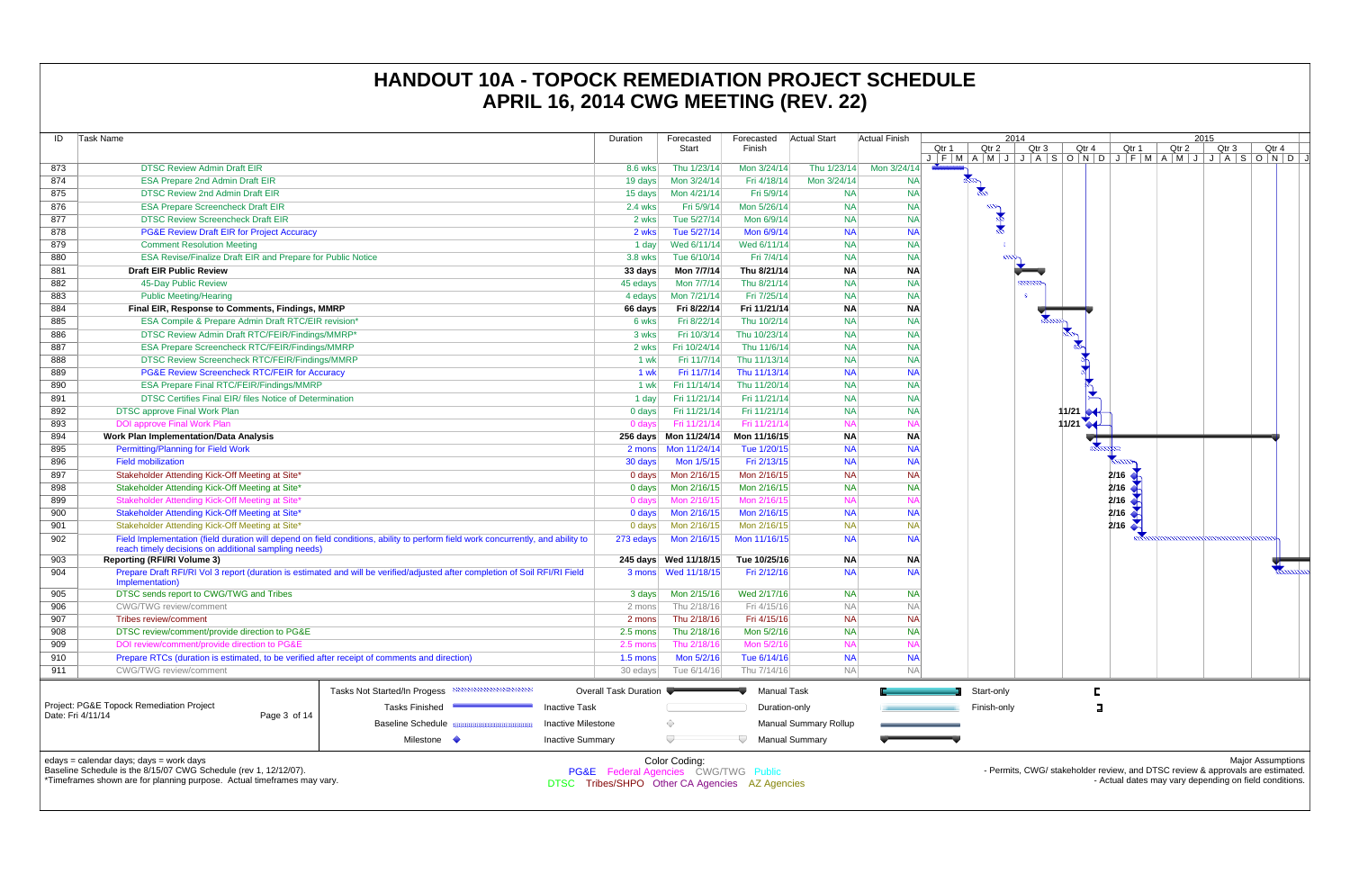| ID  | Task Name                                                                                    |                                                                                                                                  | Duration                                       | Forecasted             | Forecasted    | Actual Start                 | Actual Finish          |                                     |
|-----|----------------------------------------------------------------------------------------------|----------------------------------------------------------------------------------------------------------------------------------|------------------------------------------------|------------------------|---------------|------------------------------|------------------------|-------------------------------------|
|     |                                                                                              |                                                                                                                                  |                                                | Start                  | Finish        |                              |                        | Qtr<br>Qtr 1<br>$J$ $F$ $M$ $A$ $M$ |
| 873 | <b>DTSC Review Admin Draft EIR</b>                                                           |                                                                                                                                  | 8.6 wks                                        | Thu 1/23/14            | Mon 3/24/14   | Thu 1/23/14                  | Mon 3/24/14            |                                     |
| 874 | <b>ESA Prepare 2nd Admin Draft EIR</b>                                                       |                                                                                                                                  | 19 days                                        | Mon 3/24/14            | Fri 4/18/14   | Mon 3/24/14                  | <b>NA</b>              |                                     |
| 875 | <b>DTSC Review 2nd Admin Draft EIR</b>                                                       |                                                                                                                                  | 15 days                                        | Mon 4/21/14            | Fri 5/9/14    | <b>NA</b>                    | <b>NA</b>              | $\blacktriangleright$               |
| 876 | <b>ESA Prepare Screencheck Draft EIR</b>                                                     |                                                                                                                                  | $2.4$ wks                                      | Fri 5/9/14             | Mon 5/26/14   | <b>NA</b>                    | <b>NA</b>              | $\infty$                            |
| 877 | <b>DTSC Review Screencheck Draft EIR</b>                                                     |                                                                                                                                  | 2 wks                                          | Tue 5/27/14            | Mon 6/9/14    | <b>NA</b>                    | <b>NA</b>              |                                     |
| 878 | <b>PG&amp;E Review Draft EIR for Project Accuracy</b>                                        |                                                                                                                                  | 2 wks                                          | Tue 5/27/14            | Mon 6/9/14    | <b>NA</b>                    | <b>NA</b>              |                                     |
| 879 | <b>Comment Resolution Meeting</b>                                                            |                                                                                                                                  | 1 day                                          | Wed 6/11/14            | Wed 6/11/14   | <b>NA</b>                    | <b>NA</b>              |                                     |
| 880 | ESA Revise/Finalize Draft EIR and Prepare for Public Notice                                  |                                                                                                                                  | 3.8 wks                                        | Tue 6/10/14            | Fri 7/4/14    | <b>NA</b>                    | <b>NA</b>              |                                     |
| 881 | <b>Draft EIR Public Review</b>                                                               |                                                                                                                                  | 33 days                                        | Mon 7/7/14             | Thu 8/21/14   | <b>NA</b>                    | <b>NA</b>              |                                     |
| 882 | 45-Day Public Review                                                                         |                                                                                                                                  | 45 edays                                       | Mon 7/7/14             | Thu 8/21/14   | <b>NA</b>                    | <b>NA</b>              |                                     |
| 883 | <b>Public Meeting/Hearing</b>                                                                |                                                                                                                                  | 4 edays                                        | Mon 7/21/14            | Fri 7/25/14   | <b>NA</b>                    | <b>NA</b>              |                                     |
| 884 | Final EIR, Response to Comments, Findings, MMRP                                              |                                                                                                                                  | 66 days                                        | Fri 8/22/14            | Fri 11/21/14  | <b>NA</b>                    | <b>NA</b>              |                                     |
| 885 | ESA Compile & Prepare Admin Draft RTC/EIR revision*                                          |                                                                                                                                  | 6 wks                                          | Fri 8/22/14            | Thu 10/2/14   | <b>NA</b>                    | <b>NA</b>              |                                     |
| 886 | DTSC Review Admin Draft RTC/FEIR/Findings/MMRP*                                              |                                                                                                                                  | 3 wks                                          | Fri 10/3/14            | Thu 10/23/14  | <b>NA</b>                    | <b>NA</b>              |                                     |
| 887 | ESA Prepare Screencheck RTC/FEIR/Findings/MMRP                                               |                                                                                                                                  | 2 wks                                          | Fri 10/24/14           | Thu 11/6/14   | <b>NA</b>                    | <b>NA</b>              |                                     |
| 888 | DTSC Review Screencheck RTC/FEIR/Findings/MMRP                                               |                                                                                                                                  | 1 wk                                           | Fri 11/7/14            | Thu 11/13/14  | <b>NA</b>                    | <b>NA</b>              |                                     |
| 889 |                                                                                              | PG&E Review Screencheck RTC/FEIR for Accuracy                                                                                    |                                                |                        |               |                              | <b>NA</b><br><b>NA</b> |                                     |
| 890 | <b>ESA Prepare Final RTC/FEIR/Findings/MMRP</b>                                              | 1 wk                                                                                                                             | Fri 11/14/14                                   | Thu 11/20/14           | <b>NA</b>     | <b>NA</b>                    |                        |                                     |
| 891 | DTSC Certifies Final EIR/ files Notice of Determination                                      | 1 day                                                                                                                            | Fri 11/21/14                                   | Fri 11/21/14           | <b>NA</b>     | <b>NA</b>                    |                        |                                     |
| 892 | <b>DTSC approve Final Work Plan</b>                                                          | 0 days                                                                                                                           | Fri 11/21/14                                   | Fri 11/21/14           | <b>NA</b>     | <b>NA</b>                    |                        |                                     |
| 893 | <b>DOI approve Final Work Plan</b>                                                           | 0 days                                                                                                                           | Fri 11/21/14                                   | Fri 11/21/14           | <b>NA</b>     | <b>NA</b>                    |                        |                                     |
| 894 | <b>Work Plan Implementation/Data Analysis</b>                                                |                                                                                                                                  |                                                | Mon 11/16/15           | <b>NA</b>     | <b>NA</b>                    |                        |                                     |
| 895 | <b>Permitting/Planning for Field Work</b>                                                    |                                                                                                                                  | 2 mons                                         | Mon 11/24/14           | Tue 1/20/15   | <b>NA</b>                    | <b>NA</b>              |                                     |
| 896 | <b>Field mobilization</b>                                                                    |                                                                                                                                  | 30 days                                        | Mon 1/5/15             | Fri 2/13/15   | <b>NA</b>                    | <b>NA</b>              |                                     |
| 897 | Stakeholder Attending Kick-Off Meeting at Site*                                              |                                                                                                                                  | 0 days                                         | Mon 2/16/15            | Mon 2/16/15   | <b>NA</b>                    | <b>NA</b>              |                                     |
| 898 | Stakeholder Attending Kick-Off Meeting at Site*                                              |                                                                                                                                  | $0$ days                                       | Mon 2/16/15            | Mon 2/16/15   | <b>NA</b>                    | <b>NA</b>              |                                     |
| 899 | Stakeholder Attending Kick-Off Meeting at Site*                                              |                                                                                                                                  | 0 days                                         | Mon 2/16/15            | Mon 2/16/15   | <b>NA</b>                    | <b>NA</b>              |                                     |
| 900 | Stakeholder Attending Kick-Off Meeting at Site*                                              |                                                                                                                                  | 0 days                                         | Mon 2/16/15            | Mon 2/16/15   | <b>NA</b>                    | <b>NA</b>              |                                     |
| 901 | Stakeholder Attending Kick-Off Meeting at Site*                                              |                                                                                                                                  | 0 days                                         | Mon 2/16/15            | Mon 2/16/15   | <b>NA</b>                    | <b>NA</b>              |                                     |
| 902 | reach timely decisions on additional sampling needs)                                         | Field Implementation (field duration will depend on field conditions, ability to perform field work concurrently, and ability to | 273 edays                                      | Mon 2/16/15            | Mon 11/16/15  | <b>NA</b>                    | NA                     |                                     |
| 903 | <b>Reporting (RFI/RI Volume 3)</b>                                                           |                                                                                                                                  |                                                | 245 days  Wed 11/18/15 | Tue 10/25/16  | <b>NA</b>                    | <b>NA</b>              |                                     |
| 904 | Implementation)                                                                              | Prepare Draft RFI/RI Vol 3 report (duration is estimated and will be verified/adjusted after completion of Soil RFI/RI Field     |                                                |                        | Fri 2/12/16   | NA                           | <b>NA</b>              |                                     |
| 905 | DTSC sends report to CWG/TWG and Tribes                                                      |                                                                                                                                  | 3 days                                         | Mon 2/15/16            | Wed 2/17/16   | <b>NA</b>                    | <b>NA</b>              |                                     |
| 906 | CWG/TWG review/comment                                                                       |                                                                                                                                  | 2 mons                                         | Thu 2/18/16            | Fri 4/15/16   | <b>NA</b>                    | <b>NA</b>              |                                     |
| 907 | <b>Tribes review/comment</b>                                                                 |                                                                                                                                  | 2 mons                                         | Thu 2/18/16            | Fri 4/15/16   | <b>NA</b>                    | <b>NA</b>              |                                     |
| 908 | DTSC review/comment/provide direction to PG&E                                                |                                                                                                                                  | 2.5 mons                                       | Thu 2/18/16            | Mon 5/2/16    | <b>NA</b>                    | NA                     |                                     |
| 909 | DOI review/comment/provide direction to PG&E                                                 |                                                                                                                                  | 2.5 mons                                       | Thu 2/18/16            | Mon 5/2/16    | <b>NA</b>                    | <b>NA</b>              |                                     |
| 910 | Prepare RTCs (duration is estimated, to be verified after receipt of comments and direction) |                                                                                                                                  | $1.5$ mons                                     | Mon 5/2/16             | Tue 6/14/16   | <b>NA</b>                    | NA                     |                                     |
| 911 | <b>CWG/TWG</b> review/comment                                                                |                                                                                                                                  | 30 edays                                       | Tue 6/14/16            | Thu 7/14/16   | <b>NA</b>                    | <b>NA</b>              |                                     |
|     |                                                                                              | Tasks Not Started/In Progess<br>,,,,,,,,,,,,,,,,,,,,,,,,,,,,                                                                     | Overall Task Duration                          |                        | Manual Task   |                              |                        | Start-                              |
|     | Project: PG&E Topock Remediation Project                                                     | <b>Tasks Finished</b>                                                                                                            | <b>Inactive Task</b>                           |                        | Duration-only |                              |                        | Finish                              |
|     | Date: Fri 4/11/14<br>Page 3 of 14                                                            | <b>Baseline Schedule</b><br>8888888888888                                                                                        | Inactive Milestone                             | ♦                      |               | <b>Manual Summary Rollup</b> |                        |                                     |
|     |                                                                                              |                                                                                                                                  |                                                |                        |               |                              |                        |                                     |
|     |                                                                                              | Milestone <                                                                                                                      | <b>Inactive Summary</b>                        |                        |               | <b>Manual Summary</b>        |                        |                                     |
|     | edays = calendar days; days = work days                                                      |                                                                                                                                  |                                                | Color Coding:          |               |                              |                        |                                     |
|     | Baseline Schedule is the 8/15/07 CWG Schedule (rev 1, 12/12/07).                             |                                                                                                                                  | PG&E Federal Agencies CWG/TWG Public           |                        |               |                              |                        |                                     |
|     | *Timeframes shown are for planning purpose. Actual timeframes may vary.                      |                                                                                                                                  | DTSC Tribes/SHPO Other CA Agencies AZ Agencies |                        |               |                              |                        |                                     |

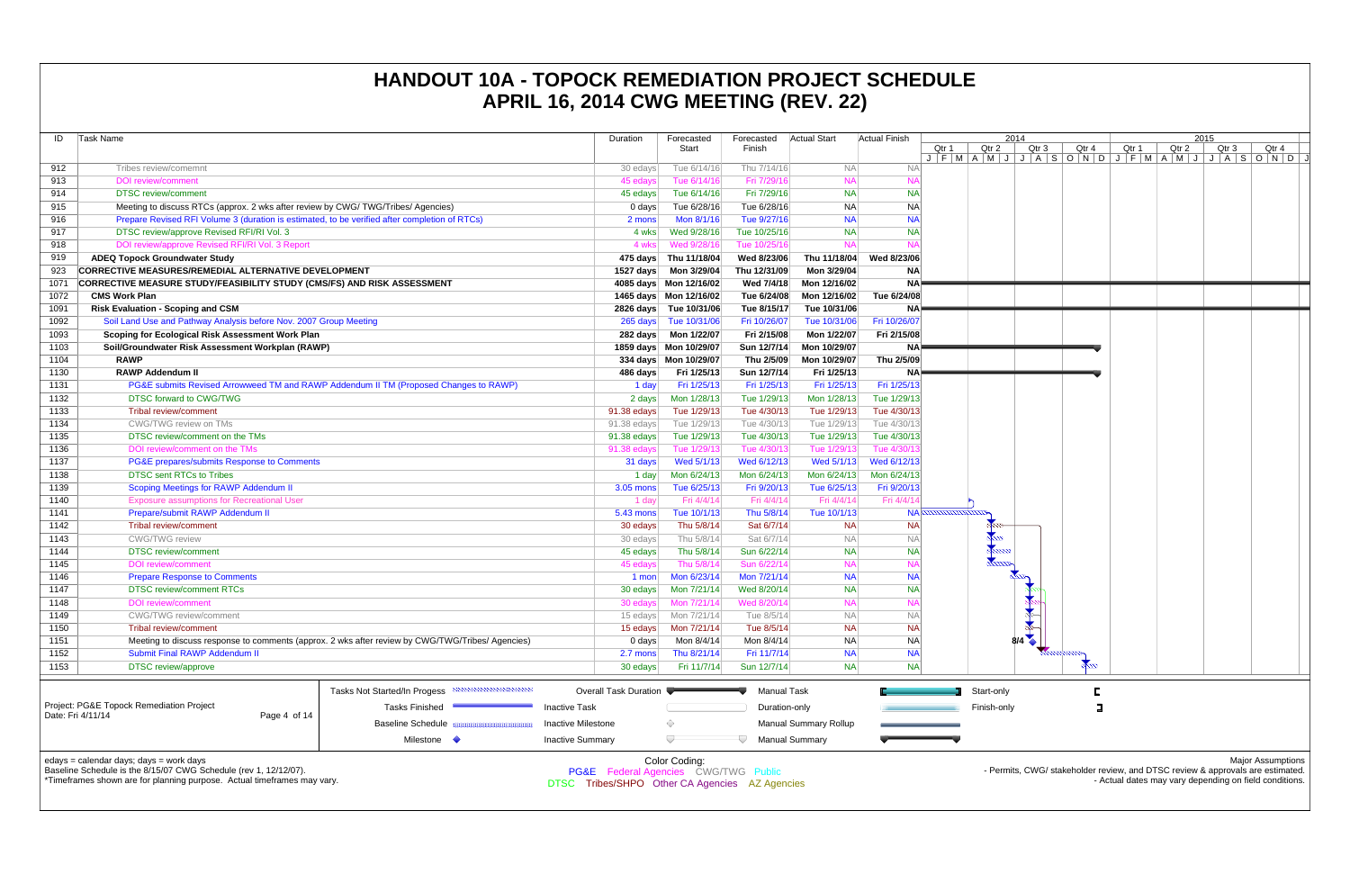| ID                | Task Name                                                                                            |                                                                                                  | Duration                             | Forecasted<br>Start    | Forecasted<br>Finish | Actual Start                | <b>Actual Finish</b> | Qtr 1               | Qtr    |
|-------------------|------------------------------------------------------------------------------------------------------|--------------------------------------------------------------------------------------------------|--------------------------------------|------------------------|----------------------|-----------------------------|----------------------|---------------------|--------|
| 912               | Tribes review/comemnt                                                                                |                                                                                                  | 30 edays                             | Tue 6/14/16            | Thu 7/14/16          | <b>NA</b>                   | <b>NA</b>            | $J$ $F$ $M$ $A$ $M$ |        |
| 913               | <b>DOI</b> review/comment                                                                            |                                                                                                  | 45 edays                             | Tue 6/14/16            | Fri 7/29/16          | <b>NA</b>                   | <b>NA</b>            |                     |        |
| 914               | <b>DTSC</b> review/comment                                                                           |                                                                                                  | 45 edays                             | Tue 6/14/16            | Fri 7/29/16          | <b>NA</b>                   | <b>NA</b>            |                     |        |
| 915               | Meeting to discuss RTCs (approx. 2 wks after review by CWG/TWG/Tribes/ Agencies)                     |                                                                                                  | 0 days                               | Tue 6/28/16            | Tue 6/28/16          | <b>NA</b>                   | <b>NA</b>            |                     |        |
| 916               | Prepare Revised RFI Volume 3 (duration is estimated, to be verified after completion of RTCs)        |                                                                                                  | 2 mons                               | Mon 8/1/16             | Tue 9/27/16          | <b>NA</b>                   | <b>NA</b>            |                     |        |
| 917               | DTSC review/approve Revised RFI/RI Vol. 3                                                            |                                                                                                  | 4 wks                                | Wed 9/28/16            | Tue 10/25/16         | <b>NA</b>                   | <b>NA</b>            |                     |        |
| 918               | DOI review/approve Revised RFI/RI Vol. 3 Report                                                      |                                                                                                  | 4 wks                                | Wed 9/28/16            | Tue 10/25/16         | <b>NA</b>                   | <b>NA</b>            |                     |        |
| 919               | <b>ADEQ Topock Groundwater Study</b>                                                                 |                                                                                                  | 475 days                             | Thu 11/18/04           | Wed 8/23/06          | Thu 11/18/04                | Wed 8/23/06          |                     |        |
| 923               | <b>CORRECTIVE MEASURES/REMEDIAL ALTERNATIVE DEVELOPMENT</b>                                          |                                                                                                  | 1527 days                            | Mon 3/29/04            | Thu 12/31/09         | Mon 3/29/04                 | <b>NA</b>            |                     |        |
| 1071              | <b>CORRECTIVE MEASURE STUDY/FEASIBILITY STUDY (CMS/FS) AND RISK ASSESSMENT</b>                       |                                                                                                  |                                      | 4085 days Mon 12/16/02 | Wed 7/4/18           | Mon 12/16/02                | <b>NA</b>            |                     |        |
| 1072              | <b>CMS Work Plan</b>                                                                                 |                                                                                                  |                                      | 1465 days Mon 12/16/02 | Tue 6/24/08          | Mon 12/16/02                | Tue 6/24/08          |                     |        |
| 1091              | <b>Risk Evaluation - Scoping and CSM</b>                                                             |                                                                                                  |                                      | 2826 days Tue 10/31/06 | Tue 8/15/17          | Tue 10/31/06                | <b>NA</b>            |                     |        |
| 1092              | Soil Land Use and Pathway Analysis before Nov. 2007 Group Meeting                                    |                                                                                                  | 265 days                             | Tue 10/31/06           | Fri 10/26/07         | Tue 10/31/06                | Fri 10/26/07         |                     |        |
| 1093              |                                                                                                      |                                                                                                  |                                      |                        |                      |                             |                      |                     |        |
| 1103              | Scoping for Ecological Risk Assessment Work Plan<br>Soil/Groundwater Risk Assessment Workplan (RAWP) |                                                                                                  | 282 days                             | Mon 1/22/07            | Fri 2/15/08          | Mon 1/22/07<br>Mon 10/29/07 | Fri 2/15/08          |                     |        |
|                   |                                                                                                      |                                                                                                  |                                      | 1859 days Mon 10/29/07 | Sun 12/7/14          |                             | NA.                  |                     |        |
| 1104              | <b>RAWP</b>                                                                                          |                                                                                                  |                                      | 334 days Mon 10/29/07  | Thu 2/5/09           | Mon 10/29/07                | Thu 2/5/09           |                     |        |
| 1130              | <b>RAWP Addendum II</b>                                                                              |                                                                                                  | 486 days                             | Fri 1/25/13            | Sun 12/7/14          | Fri 1/25/13                 | <b>NA</b>            |                     |        |
| 1131              |                                                                                                      | PG&E submits Revised Arrowweed TM and RAWP Addendum II TM (Proposed Changes to RAWP)             | 1 day                                | Fri 1/25/13            | Fri 1/25/13          | Fri 1/25/13                 | Fri 1/25/13          |                     |        |
| 1132              | <b>DTSC forward to CWG/TWG</b>                                                                       |                                                                                                  | 2 days                               | Mon 1/28/13            | Tue 1/29/13          | Mon 1/28/13                 | Tue 1/29/13          |                     |        |
| 1133              | <b>Tribal review/comment</b>                                                                         |                                                                                                  | 91.38 edays                          | Tue 1/29/13            | Tue 4/30/13          | Tue 1/29/13                 | Tue 4/30/13          |                     |        |
| 1134              | CWG/TWG review on TMs                                                                                |                                                                                                  | 91.38 edays                          | Tue 1/29/13            | Tue 4/30/13          | Tue 1/29/13                 | Tue 4/30/13          |                     |        |
| 1135              | DTSC review/comment on the TMs                                                                       | 91.38 edays                                                                                      | Tue 1/29/13                          | Tue 4/30/13            | Tue 1/29/13          | Tue 4/30/13                 |                      |                     |        |
| 1136              | DOI review/comment on the TMs                                                                        |                                                                                                  | 91.38 edays                          | Tue 1/29/13            | Tue 4/30/13          | Tue 1/29/13                 | Tue 4/30/13          |                     |        |
| 1137              | PG&E prepares/submits Response to Comments                                                           |                                                                                                  | 31 days                              | Wed 5/1/13             | Wed 6/12/13          | Wed 5/1/13                  | Wed 6/12/13          |                     |        |
| 1138              | <b>DTSC sent RTCs to Tribes</b>                                                                      |                                                                                                  | 1 day                                | Mon 6/24/13            | Mon 6/24/13          | Mon 6/24/13                 | Mon 6/24/13          |                     |        |
| 1139              | Scoping Meetings for RAWP Addendum II                                                                |                                                                                                  | 3.05 mons                            | Tue 6/25/13            | Fri 9/20/13          | Tue 6/25/13                 | Fri 9/20/13          |                     |        |
| 1140              | <b>Exposure assumptions for Recreational User</b>                                                    |                                                                                                  | 1 day                                | Fri 4/4/14             | Fri 4/4/14           | Fri 4/4/14                  | Fri 4/4/14           |                     |        |
| 1141              | Prepare/submit RAWP Addendum II                                                                      |                                                                                                  | <b>5.43 mons</b>                     | Tue 10/1/13            | Thu 5/8/14           | Tue 10/1/13                 |                      | <b>NA</b>           |        |
| 1142              | Tribal review/comment                                                                                |                                                                                                  | 30 edays                             | Thu 5/8/14             | Sat 6/7/14           | <b>NA</b>                   | <b>NA</b>            |                     |        |
| 1143              | <b>CWG/TWG</b> review                                                                                |                                                                                                  | 30 edays                             | Thu 5/8/14             | Sat 6/7/14           | <b>NA</b>                   | <b>NA</b>            |                     |        |
| 1144              | <b>DTSC</b> review/comment                                                                           |                                                                                                  | 45 edays                             | Thu 5/8/14             | Sun 6/22/14          | <b>NA</b>                   | NA                   |                     |        |
| 1145              | <b>DOI</b> review/comment                                                                            |                                                                                                  | 45 edays                             | Thu 5/8/14             | Sun 6/22/14          | <b>NA</b>                   | <b>NA</b>            |                     |        |
| 1146              | <b>Prepare Response to Comments</b>                                                                  |                                                                                                  | 1 mon                                | Mon 6/23/14            | Mon 7/21/14          | <b>NA</b>                   | <b>NA</b>            |                     |        |
| 1147              | <b>DTSC review/comment RTCs</b>                                                                      |                                                                                                  | 30 edays                             | Mon 7/21/14            | Wed 8/20/14          | <b>NA</b>                   | <b>NA</b>            |                     |        |
| 1148              | <b>DOI</b> review/comment                                                                            |                                                                                                  | 30 edays                             | Mon 7/21/14            | Wed 8/20/14          | <b>NA</b>                   | <b>NA</b>            |                     |        |
| 1149              | <b>CWG/TWG</b> review/comment                                                                        |                                                                                                  | 15 edays                             | Mon 7/21/14            | Tue 8/5/14           | <b>NA</b>                   | <b>NA</b>            |                     |        |
| 1150              | Tribal review/comment                                                                                |                                                                                                  | 15 edays                             | Mon 7/21/14            | Tue 8/5/14           | <b>NA</b>                   | NA                   |                     |        |
| 1151              |                                                                                                      | Meeting to discuss response to comments (approx. 2 wks after review by CWG/TWG/Tribes/ Agencies) | $0 \text{ days}$                     | Mon 8/4/14             | Mon 8/4/14           | <b>NA</b>                   | <b>NA</b>            |                     |        |
| 1152              | Submit Final RAWP Addendum II                                                                        |                                                                                                  | 2.7 mons                             | Thu 8/21/14            | Fri 11/7/14          | <b>NA</b>                   | <b>NA</b>            |                     |        |
| 1153              | <b>DTSC</b> review/approve                                                                           |                                                                                                  | 30 edays                             | Fri 11/7/14            | Sun 12/7/14          | <b>NA</b>                   | NA                   |                     |        |
|                   |                                                                                                      |                                                                                                  |                                      |                        |                      |                             |                      |                     |        |
|                   |                                                                                                      | Tasks Not Started/In Progess                                                                     | <b>Overall Task Duration</b>         |                        | <b>Manual Task</b>   |                             |                      |                     | Start- |
|                   | Project: PG&E Topock Remediation Project                                                             | <b>Tasks Finished</b>                                                                            | <b>Inactive Task</b>                 |                        | Duration-only        |                             |                      |                     | Finish |
| Date: Fri 4/11/14 | Page 4 of 14                                                                                         | <b>Baseline Schedule</b>                                                                         | Inactive Milestone                   | ◇                      |                      | Manual Summary Rollup       |                      |                     |        |
|                   |                                                                                                      | Milestone $\Diamond$                                                                             | <b>Inactive Summary</b>              | U                      | U                    | <b>Manual Summary</b>       |                      |                     |        |
|                   | edays = calendar days; days = work days                                                              |                                                                                                  |                                      |                        |                      |                             |                      |                     |        |
|                   | Baseline Schedule is the 8/15/07 CWG Schedule (rev 1, 12/12/07).                                     |                                                                                                  | PG&E Federal Agencies CWG/TWG Public | Color Coding:          |                      |                             |                      |                     |        |
|                   |                                                                                                      |                                                                                                  |                                      |                        |                      |                             |                      |                     |        |

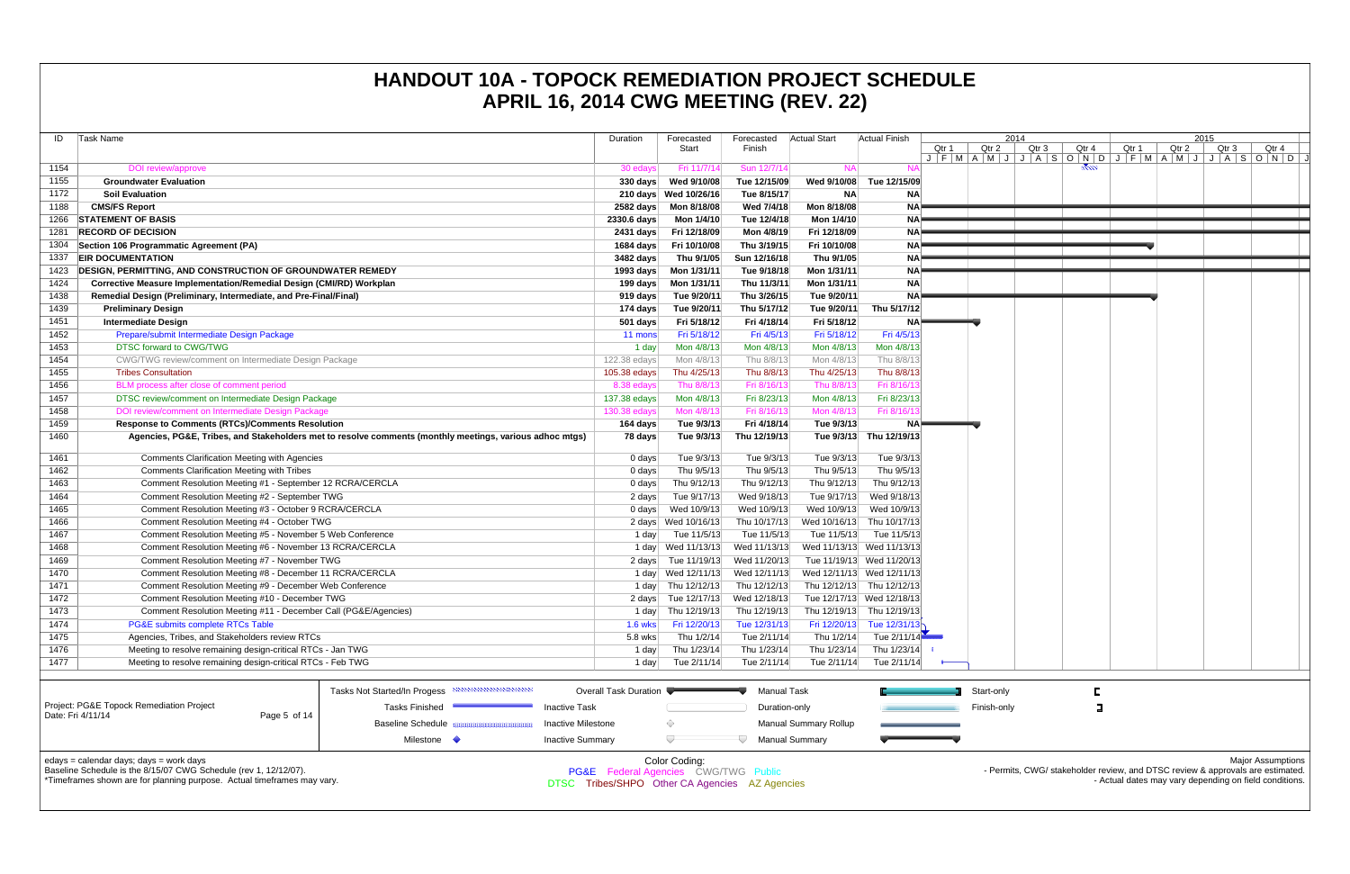Baseline Schedule Inactive Milestone $\Diamond$ Manual Summary Rollup  $\overline{a}$ Inactive Summary  $\nabla$  Manual Summary Milestone Color Coding: edays = calendar days; days = work days Baseline Schedule is the 8/15/07 CWG Schedule (rev 1, 12/12/07). PG&E Federal Agencies CWG/TWG Public \*Timeframes shown are for planning purpose. Actual timeframes may vary. DTSC Tribes/SHPO Other CA Agencies AZ Agencies

| ID   |                                                                                                                           |                       |                        |                                     |              |                           |                              |                         |
|------|---------------------------------------------------------------------------------------------------------------------------|-----------------------|------------------------|-------------------------------------|--------------|---------------------------|------------------------------|-------------------------|
|      | Task Name                                                                                                                 | Duration              | Forecasted<br>Start    | Forecasted<br>Finish                | Actual Start | <b>Actual Finish</b>      |                              | Qtı                     |
|      |                                                                                                                           |                       |                        |                                     |              |                           | Qtr 1<br>$J$ $F$ $M$ $A$ $N$ |                         |
| 1154 | DOI review/approve                                                                                                        | 30 edays              | Fri 11/7/14            | Sun 12/7/14                         | <b>NA</b>    | <b>NA</b>                 |                              |                         |
| 1155 | <b>Groundwater Evaluation</b>                                                                                             | $330 \text{ days}$    | Wed 9/10/08            | Tue 12/15/09                        | Wed 9/10/08  | Tue 12/15/09              |                              |                         |
| 1172 | <b>Soil Evaluation</b>                                                                                                    |                       | 210 days Wed 10/26/16  | Tue 8/15/17                         | <b>NA</b>    | ΝA                        |                              |                         |
| 1188 | <b>CMS/FS Report</b>                                                                                                      | 2582 days             | Mon 8/18/08            | Wed 7/4/18                          | Mon 8/18/08  | <b>NA</b>                 |                              |                         |
| 1266 | <b>STATEMENT OF BASIS</b>                                                                                                 | 2330.6 days           | Mon 1/4/10             | Tue 12/4/18                         | Mon 1/4/10   | <b>NA</b>                 |                              |                         |
| 1281 | <b>RECORD OF DECISION</b>                                                                                                 | 2431 days             | Fri 12/18/09           | Mon 4/8/19                          | Fri 12/18/09 | <b>NA</b>                 |                              |                         |
| 1304 | Section 106 Programmatic Agreement (PA)                                                                                   | 1684 days             | Fri 10/10/08           | Thu 3/19/15                         | Fri 10/10/08 | <b>NA</b>                 |                              |                         |
| 1337 | <b>EIR DOCUMENTATION</b>                                                                                                  | 3482 days             | Thu 9/1/05             | Sun 12/16/18                        | Thu 9/1/05   | <b>NA</b>                 |                              |                         |
| 1423 | <b>DESIGN, PERMITTING, AND CONSTRUCTION OF GROUNDWATER REMEDY</b>                                                         | 1993 days             | Mon 1/31/11            | Tue 9/18/18                         | Mon 1/31/11  | <b>NA</b>                 |                              |                         |
| 1424 | Corrective Measure Implementation/Remedial Design (CMI/RD) Workplan                                                       | 199 days              | Mon 1/31/11            | Thu 11/3/11                         | Mon 1/31/11  | <b>NA</b>                 |                              |                         |
| 1438 | Remedial Design (Preliminary, Intermediate, and Pre-Final/Final)                                                          | 919 days              | Tue 9/20/11            | Thu 3/26/15                         | Tue 9/20/11  | <b>NA</b>                 |                              |                         |
| 1439 | <b>Preliminary Design</b>                                                                                                 | 174 days              | Tue 9/20/11            | Thu 5/17/12                         | Tue 9/20/11  | Thu 5/17/12               |                              |                         |
| 1451 | <b>Intermediate Design</b>                                                                                                | 501 days              | Fri 5/18/12            | Fri 4/18/14                         | Fri 5/18/12  | <b>NA</b>                 |                              |                         |
| 1452 | Prepare/submit Intermediate Design Package                                                                                | 11 mons               | Fri 5/18/12            | Fri 4/5/13                          | Fri 5/18/12  | Fri 4/5/13                |                              |                         |
| 1453 | DTSC forward to CWG/TWG                                                                                                   | 1 day                 | Mon 4/8/13             | Mon 4/8/13                          | Mon 4/8/13   | Mon 4/8/13                |                              |                         |
| 1454 | CWG/TWG review/comment on Intermediate Design Package                                                                     | 122.38 edays          | Mon 4/8/13             | Thu 8/8/13                          | Mon 4/8/13   | Thu 8/8/13                |                              |                         |
| 1455 | <b>Tribes Consultation</b>                                                                                                | 105.38 edays          | Thu 4/25/13            | Thu 8/8/13                          | Thu 4/25/13  | Thu 8/8/13                |                              |                         |
| 1456 | BLM process after close of comment period                                                                                 | 8.38 edays            | Thu 8/8/13             | Fri 8/16/13                         | Thu 8/8/13   | Fri 8/16/13               |                              |                         |
| 1457 | DTSC review/comment on Intermediate Design Package                                                                        | 137.38 edays          | Mon 4/8/13             | Fri 8/23/13                         | Mon 4/8/13   | Fri 8/23/13               |                              |                         |
| 1458 | DOI review/comment on Intermediate Design Package                                                                         | 130.38 edays          | Mon 4/8/13             | Fri 8/16/13                         | Mon 4/8/13   | Fri 8/16/1                |                              |                         |
| 1459 | <b>Response to Comments (RTCs)/Comments Resolution</b>                                                                    | 164 days              | Tue 9/3/13             | Fri 4/18/14                         | Tue 9/3/13   | <b>NA</b>                 |                              |                         |
| 1460 | Agencies, PG&E, Tribes, and Stakeholders met to resolve comments (monthly meetings, various adhoc mtgs)                   | 78 days               | Tue 9/3/13             | Thu 12/19/13                        | Tue 9/3/13   | Thu 12/19/13              |                              |                         |
| 1461 | <b>Comments Clarification Meeting with Agencies</b>                                                                       | 0 days                | Tue 9/3/13             | Tue 9/3/13                          | Tue 9/3/13   | Tue 9/3/13                |                              |                         |
| 1462 | <b>Comments Clarification Meeting with Tribes</b>                                                                         | 0 days                | Thu 9/5/13             | Thu 9/5/13                          | Thu 9/5/13   | Thu 9/5/13                |                              |                         |
| 1463 | Comment Resolution Meeting #1 - September 12 RCRA/CERCLA                                                                  | $0$ days              | Thu 9/12/13            | Thu 9/12/13                         | Thu 9/12/13  | Thu 9/12/13               |                              |                         |
| 1464 | Comment Resolution Meeting #2 - September TWG                                                                             | 2 days                | Tue 9/17/13            | Wed 9/18/13                         | Tue 9/17/13  | Wed 9/18/13               |                              |                         |
| 1465 | Comment Resolution Meeting #3 - October 9 RCRA/CERCLA                                                                     | $0 \text{ days}$      | Wed 10/9/13            | Wed 10/9/13                         | Wed 10/9/13  | Wed 10/9/13               |                              |                         |
|      |                                                                                                                           |                       |                        |                                     |              |                           |                              |                         |
| 1466 | Comment Resolution Meeting #4 - October TWG                                                                               |                       | 2 days Wed 10/16/13    | Thu 10/17/13                        |              | Wed 10/16/13 Thu 10/17/13 |                              |                         |
| 1467 | Comment Resolution Meeting #5 - November 5 Web Conference                                                                 | 1 day                 | Tue 11/5/13            | Tue 11/5/13                         | Tue 11/5/13  | Tue 11/5/13               |                              |                         |
| 1468 | Comment Resolution Meeting #6 - November 13 RCRA/CERCLA                                                                   | 1 day                 | Wed 11/13/13           | Wed 11/13/13                        |              | Wed 11/13/13 Wed 11/13/13 |                              |                         |
| 1469 | Comment Resolution Meeting #7 - November TWG                                                                              | 2 days                | Tue 11/19/13           | Wed 11/20/13                        |              | Tue 11/19/13 Wed 11/20/13 |                              |                         |
| 1470 | Comment Resolution Meeting #8 - December 11 RCRA/CERCLA                                                                   |                       | 1 day Wed 12/11/13     | Wed 12/11/13                        |              | Wed 12/11/13 Wed 12/11/13 |                              |                         |
| 1471 | Comment Resolution Meeting #9 - December Web Conference                                                                   | 1 day                 | Thu 12/12/13           | Thu 12/12/13                        |              | Thu 12/12/13 Thu 12/12/13 |                              |                         |
| 1472 | Comment Resolution Meeting #10 - December TWG                                                                             |                       | 2 days Tue 12/17/13    | Wed 12/18/13                        |              | Tue 12/17/13 Wed 12/18/13 |                              |                         |
| 1473 | Comment Resolution Meeting #11 - December Call (PG&E/Agencies)                                                            |                       | 1 day Thu 12/19/13     | Thu 12/19/13                        |              | Thu 12/19/13 Thu 12/19/13 |                              |                         |
| 1474 | PG&E submits complete RTCs Table                                                                                          |                       | 1.6 wks   Fri 12/20/13 | Tue 12/31/13                        |              | Fri 12/20/13 Tue 12/31/13 |                              |                         |
| 1475 | Agencies, Tribes, and Stakeholders review RTCs                                                                            | 5.8 wks               | Thu 1/2/14             | Tue 2/11/14                         | Thu 1/2/14   | Tue 2/11/14               |                              |                         |
| 1476 | Meeting to resolve remaining design-critical RTCs - Jan TWG                                                               | 1 day                 | Thu 1/23/14            | Thu 1/23/14                         | Thu 1/23/14  | Thu 1/23/14               |                              |                         |
| 1477 | Meeting to resolve remaining design-critical RTCs - Feb TWG                                                               | 1 day                 | Tue 2/11/14            | Tue 2/11/14                         | Tue 2/11/14  | Tue 2/11/14               |                              |                         |
|      |                                                                                                                           |                       |                        |                                     |              |                           |                              |                         |
|      | Tasks Not Started/In Progess<br>Project: PG&E Topock Remediation Project<br><b>Tasks Finished</b><br><b>Inactive Task</b> | Overall Task Duration |                        | <b>Manual Task</b><br>Duration-only |              |                           |                              | <b>Start-</b><br>Finisl |

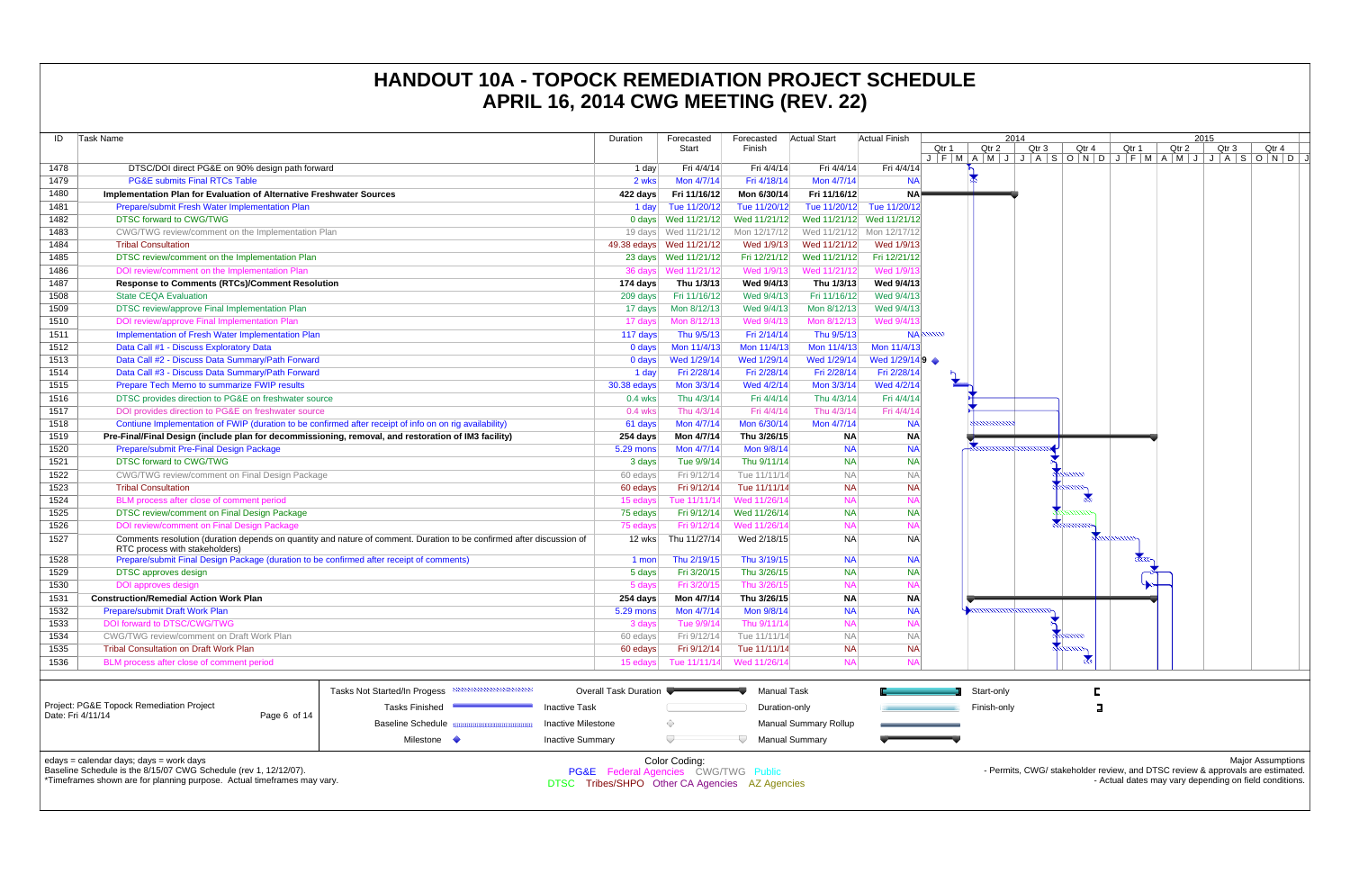**Coding:** PG&E Federal Agencies CWG/TWG Public DTSC Tribes/SHPO Other CA Agencies AZ Agencies

| ID   | Task Name                                                                                               |                                                                                                                       | Duration              | Forecasted<br>Start       | Forecasted<br>Finish | Actual Start                 | <b>Actual Finish</b>      | Qtr 1<br>$J$ $F$ $M$ $A$ $M$ | Qtr    |
|------|---------------------------------------------------------------------------------------------------------|-----------------------------------------------------------------------------------------------------------------------|-----------------------|---------------------------|----------------------|------------------------------|---------------------------|------------------------------|--------|
| 1478 | DTSC/DOI direct PG&E on 90% design path forward                                                         |                                                                                                                       | 1 day                 | Fri 4/4/14                | Fri 4/4/14           | Fri 4/4/14                   | Fri 4/4/14                |                              |        |
| 1479 | <b>PG&amp;E submits Final RTCs Table</b>                                                                |                                                                                                                       | 2 wks                 | Mon 4/7/14                | Fri 4/18/14          | Mon 4/7/14                   | <b>NA</b>                 |                              |        |
| 1480 | Implementation Plan for Evaluation of Alternative Freshwater Sources                                    |                                                                                                                       | 422 days              | Fri 11/16/12              | Mon 6/30/14          | Fri 11/16/12                 | <b>NA</b>                 |                              |        |
| 1481 | Prepare/submit Fresh Water Implementation Plan                                                          |                                                                                                                       | 1 day                 | Tue 11/20/12              | Tue 11/20/12         | Tue 11/20/12                 | Tue 11/20/12              |                              |        |
| 1482 | <b>DTSC forward to CWG/TWG</b>                                                                          |                                                                                                                       |                       | 0 days Wed 11/21/12       | Wed 11/21/12         | Wed 11/21/12                 | Wed 11/21/12              |                              |        |
| 1483 | CWG/TWG review/comment on the Implementation Plan                                                       |                                                                                                                       |                       | 19 days Wed 11/21/12      | Mon 12/17/12         |                              | Wed 11/21/12 Mon 12/17/12 |                              |        |
| 1484 | <b>Tribal Consultation</b>                                                                              |                                                                                                                       |                       | 49.38 edays  Wed 11/21/12 | Wed 1/9/13           | Wed 11/21/12                 | Wed 1/9/13                |                              |        |
| 1485 | DTSC review/comment on the Implementation Plan                                                          |                                                                                                                       |                       | 23 days Wed 11/21/12      | Fri 12/21/12         | Wed 11/21/12                 | Fri 12/21/12              |                              |        |
| 1486 | DOI review/comment on the Implementation Plan                                                           |                                                                                                                       |                       |                           | Wed 1/9/13           | Wed 11/21/12                 | Wed 1/9/13                |                              |        |
| 1487 | <b>Response to Comments (RTCs)/Comment Resolution</b>                                                   |                                                                                                                       | 174 days              | Thu 1/3/13                | Wed 9/4/13           | Thu 1/3/13                   | Wed 9/4/13                |                              |        |
| 1508 | <b>State CEQA Evaluation</b>                                                                            |                                                                                                                       | 209 days              | Fri 11/16/12              | Wed 9/4/13           | Fri 11/16/12                 | Wed 9/4/13                |                              |        |
| 1509 | DTSC review/approve Final Implementation Plan                                                           | 17 days                                                                                                               | Mon 8/12/13           | Wed 9/4/13                | Mon 8/12/13          | Wed 9/4/13                   |                           |                              |        |
| 1510 | DOI review/approve Final Implementation Plan                                                            |                                                                                                                       | 17 days               | Mon 8/12/13               | Wed 9/4/13           | Mon 8/12/13                  | Wed 9/4/13                |                              |        |
| 1511 | Implementation of Fresh Water Implementation Plan                                                       |                                                                                                                       | 117 days              | Thu 9/5/13                | Fri 2/14/14          | Thu 9/5/13                   |                           | NA                           |        |
| 1512 | Data Call #1 - Discuss Exploratory Data                                                                 |                                                                                                                       | 0 days                | Mon 11/4/13               | Mon 11/4/13          | Mon 11/4/13                  | Mon 11/4/13               |                              |        |
| 1513 | Data Call #2 - Discuss Data Summary/Path Forward                                                        | 0 days                                                                                                                | Wed 1/29/14           | Wed 1/29/14               | Wed 1/29/14          | Wed 1/29/14 9                |                           |                              |        |
| 1514 | Data Call #3 - Discuss Data Summary/Path Forward                                                        | 1 day                                                                                                                 | Fri 2/28/14           | Fri 2/28/14               | Fri 2/28/14          | Fri 2/28/14                  |                           |                              |        |
| 1515 | Prepare Tech Memo to summarize FWIP results                                                             | 30.38 edays                                                                                                           | Mon 3/3/14            | Wed 4/2/14                | Mon 3/3/14           | Wed 4/2/14                   |                           |                              |        |
| 1516 | DTSC provides direction to PG&E on freshwater source                                                    | $0.4$ wks                                                                                                             | Thu 4/3/14            | Fri 4/4/14                | Thu 4/3/14           | Fri 4/4/14                   |                           |                              |        |
| 1517 | DOI provides direction to PG&E on freshwater source                                                     | $0.4$ wks                                                                                                             | Thu 4/3/14            | Fri 4/4/14                | Thu 4/3/14           | Fri 4/4/14                   |                           |                              |        |
| 1518 | Contiune Implementation of FWIP (duration to be confirmed after receipt of info on on rig availability) | 61 days                                                                                                               | Mon 4/7/14            | Mon 6/30/14               | Mon 4/7/14           | <b>NA</b>                    |                           |                              |        |
| 1519 | Pre-Final/Final Design (include plan for decommissioning, removal, and restoration of IM3 facility)     | 254 days                                                                                                              | Mon 4/7/14            | Thu 3/26/15               | <b>NA</b>            | <b>NA</b>                    |                           |                              |        |
| 1520 | Prepare/submit Pre-Final Design Package                                                                 |                                                                                                                       | 5.29 mons             | Mon 4/7/14                | Mon 9/8/14           | <b>NA</b>                    | <b>NA</b>                 |                              |        |
| 1521 | <b>DTSC forward to CWG/TWG</b>                                                                          |                                                                                                                       | 3 days                | Tue 9/9/14                | Thu 9/11/14          | <b>NA</b>                    | <b>NA</b>                 |                              |        |
| 1522 | CWG/TWG review/comment on Final Design Package                                                          |                                                                                                                       | 60 edays              | Fri 9/12/14               | Tue 11/11/14         | <b>NA</b>                    | <b>NA</b>                 |                              |        |
| 1523 | <b>Tribal Consultation</b>                                                                              |                                                                                                                       | 60 edays              | Fri 9/12/14               | Tue 11/11/14         | <b>NA</b>                    | <b>NA</b>                 |                              |        |
| 1524 | BLM process after close of comment period                                                               |                                                                                                                       | 15 edays              | Tue 11/11/14              | Wed 11/26/14         | <b>NA</b>                    | <b>NA</b>                 |                              |        |
| 1525 | DTSC review/comment on Final Design Package                                                             |                                                                                                                       | 75 edays              | Fri 9/12/14               | Wed 11/26/14         | <b>NA</b>                    | <b>NA</b>                 |                              |        |
| 1526 | DOI review/comment on Final Design Package                                                              |                                                                                                                       | 75 edays              | Fri 9/12/14               | Wed 11/26/14         | <b>NA</b>                    | <b>NA</b>                 |                              |        |
| 1527 | RTC process with stakeholders)                                                                          | Comments resolution (duration depends on quantity and nature of comment. Duration to be confirmed after discussion of | 12 wks                | Thu 11/27/14              | Wed 2/18/15          | <b>NA</b>                    | <b>NA</b>                 |                              |        |
| 1528 | Prepare/submit Final Design Package (duration to be confirmed after receipt of comments)                |                                                                                                                       | 1 mon                 | Thu 2/19/15               | Thu 3/19/15          | <b>NA</b>                    | <b>NA</b>                 |                              |        |
| 1529 | DTSC approves design                                                                                    |                                                                                                                       | 5 days                | Fri 3/20/15               | Thu 3/26/15          | <b>NA</b>                    | <b>NA</b>                 |                              |        |
| 1530 | <b>DOI</b> approves design                                                                              |                                                                                                                       | 5 days                | Fri 3/20/15               | Thu 3/26/15          | <b>NA</b>                    | <b>NA</b>                 |                              |        |
| 1531 | <b>Construction/Remedial Action Work Plan</b>                                                           |                                                                                                                       | 254 days              | Mon 4/7/14                | Thu 3/26/15          | <b>NA</b>                    | <b>NA</b>                 |                              |        |
| 1532 | Prepare/submit Draft Work Plan                                                                          |                                                                                                                       | <b>5.29 mons</b>      | Mon 4/7/14                | Mon 9/8/14           | <b>NA</b>                    | <b>NA</b>                 |                              |        |
| 1533 | DOI forward to DTSC/CWG/TWG                                                                             |                                                                                                                       | 3 days                | Tue 9/9/14                | Thu 9/11/14          | <b>NA</b>                    | <b>NA</b>                 |                              |        |
| 1534 | <b>CWG/TWG review/comment on Draft Work Plan</b>                                                        |                                                                                                                       | 60 edays              | Fri 9/12/14               | Tue 11/11/14         | <b>NA</b>                    | <b>NA</b>                 |                              |        |
| 1535 | <b>Tribal Consultation on Draft Work Plan</b>                                                           |                                                                                                                       | 60 edays              | Fri 9/12/14               | Tue 11/11/14         | <b>NA</b>                    | <b>NA</b>                 |                              |        |
| 1536 | BLM process after close of comment period                                                               |                                                                                                                       | 15 edays              | Tue 11/11/14              | Wed 11/26/14         | <b>NA</b>                    | <b>NA</b>                 |                              |        |
|      |                                                                                                         |                                                                                                                       |                       |                           |                      |                              |                           |                              |        |
|      |                                                                                                         | Tasks Not Started/In Progess                                                                                          | Overall Task Duration |                           | <b>Manual Task</b>   |                              |                           |                              | Start- |
|      | Project: PG&E Topock Remediation Project<br>Date: Fri 4/11/14<br>Page 6 of 14                           | <b>Tasks Finished</b><br><b>Inactive Task</b>                                                                         |                       |                           | Duration-only        |                              |                           |                              | Finish |
|      |                                                                                                         | Baseline Schedule <b>Base and Baseline Schedule</b><br><b>Inactive Milestone</b>                                      |                       | ◇                         |                      | <b>Manual Summary Rollup</b> |                           |                              |        |
|      |                                                                                                         | <b>Inactive Summary</b><br>Milestone $\Diamond$                                                                       |                       |                           |                      | <b>Manual Summary</b>        |                           |                              |        |
|      | edays = calendar days; days = work days                                                                 |                                                                                                                       |                       | Color Coding:             |                      |                              |                           |                              |        |

### **HANDOUT 10A - TOPOCK REMEDIATION PROJECT SCHEDULE APRIL 16, 2014 CWG MEETING (REV. 22)**



Baseline Schedule is the 8/15/07 CWG Schedule (rev 1, 12/12/07).

\*Timeframes shown are for planning purpose. Actual timeframes may vary.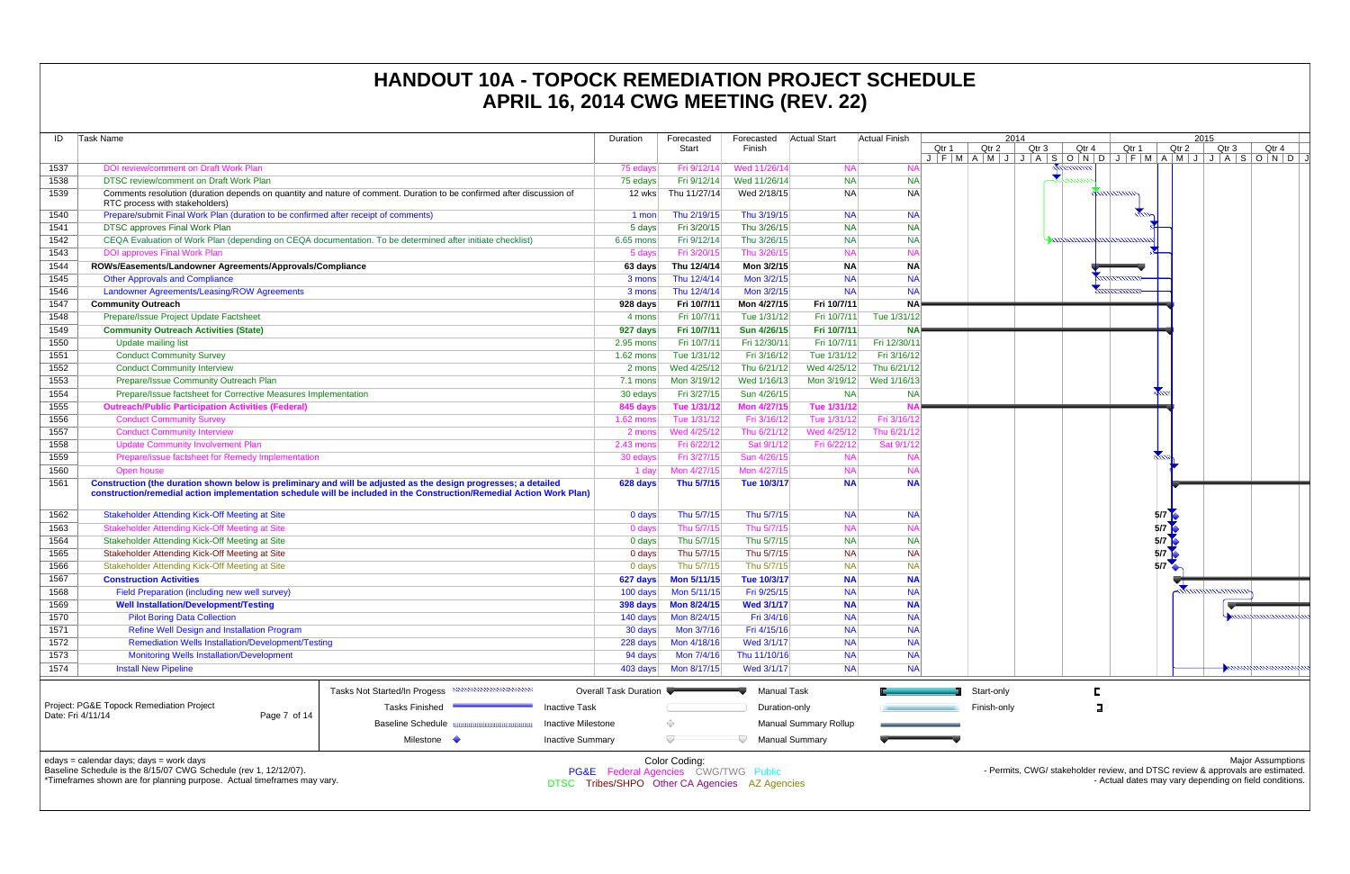| ID   | Task Name                                                                                                                                                                                                                               |                                                                                                                       | Duration                                                                               | Forecasted<br>Start | Forecasted<br>Finish | Actual Start          | <b>Actual Finish</b> | Qtr 1<br>$J$ $F$ $M$ $A$ $M$ | Qtr    |
|------|-----------------------------------------------------------------------------------------------------------------------------------------------------------------------------------------------------------------------------------------|-----------------------------------------------------------------------------------------------------------------------|----------------------------------------------------------------------------------------|---------------------|----------------------|-----------------------|----------------------|------------------------------|--------|
| 1537 | DOI review/comment on Draft Work Plan                                                                                                                                                                                                   |                                                                                                                       | 75 edays                                                                               | Fri 9/12/14         | Wed 11/26/14         | <b>NA</b>             | <b>NA</b>            |                              |        |
| 1538 | DTSC review/comment on Draft Work Plan                                                                                                                                                                                                  |                                                                                                                       | 75 edays                                                                               | Fri 9/12/14         | Wed 11/26/14         | <b>NA</b>             | <b>NA</b>            |                              |        |
| 1539 | RTC process with stakeholders)                                                                                                                                                                                                          | Comments resolution (duration depends on quantity and nature of comment. Duration to be confirmed after discussion of | 12 wks                                                                                 | Thu 11/27/14        | Wed 2/18/15          | <b>NA</b>             | <b>NA</b>            |                              |        |
| 1540 | Prepare/submit Final Work Plan (duration to be confirmed after receipt of comments)                                                                                                                                                     |                                                                                                                       | 1 mon                                                                                  | Thu 2/19/15         | Thu 3/19/15          | <b>NA</b>             | <b>NA</b>            |                              |        |
| 1541 | DTSC approves Final Work Plan                                                                                                                                                                                                           |                                                                                                                       | 5 days                                                                                 | Fri 3/20/15         | Thu 3/26/15          | <b>NA</b>             | <b>NA</b>            |                              |        |
| 1542 | CEQA Evaluation of Work Plan (depending on CEQA documentation. To be determined after initiate checklist)                                                                                                                               |                                                                                                                       | 6.65 mons                                                                              | Fri 9/12/14         | Thu 3/26/15          | <b>NA</b>             | <b>NA</b>            |                              |        |
| 1543 | <b>DOI approves Final Work Plan</b>                                                                                                                                                                                                     |                                                                                                                       | 5 days                                                                                 | Fri 3/20/15         | Thu 3/26/15          | <b>NA</b>             | <b>NA</b>            |                              |        |
| 1544 | ROWs/Easements/Landowner Agreements/Approvals/Compliance                                                                                                                                                                                |                                                                                                                       | 63 days                                                                                | Thu 12/4/14         | Mon 3/2/15           | <b>NA</b>             | <b>NA</b>            |                              |        |
| 1545 | <b>Other Approvals and Compliance</b>                                                                                                                                                                                                   |                                                                                                                       | 3 mons                                                                                 | Thu 12/4/14         | Mon 3/2/15           | <b>NA</b>             | <b>NA</b>            |                              |        |
| 1546 | Landowner Agreements/Leasing/ROW Agreements                                                                                                                                                                                             |                                                                                                                       | 3 mons                                                                                 | Thu 12/4/14         | Mon 3/2/15           | <b>NA</b>             | <b>NA</b>            |                              |        |
| 1547 | <b>Community Outreach</b>                                                                                                                                                                                                               |                                                                                                                       | 928 days                                                                               | Fri 10/7/11         | Mon 4/27/15          | Fri 10/7/11           | <b>NA</b>            |                              |        |
| 1548 | Prepare/Issue Project Update Factsheet                                                                                                                                                                                                  |                                                                                                                       | 4 mons                                                                                 | Fri 10/7/11         | Tue 1/31/12          | Fri 10/7/11           | Tue 1/31/12          |                              |        |
| 1549 | <b>Community Outreach Activities (State)</b>                                                                                                                                                                                            |                                                                                                                       | 927 days                                                                               | Fri 10/7/11         | Sun 4/26/15          | Fri 10/7/11           | <b>NA</b>            |                              |        |
| 1550 | <b>Update mailing list</b>                                                                                                                                                                                                              |                                                                                                                       | 2.95 mons                                                                              | Fri 10/7/11         | Fri 12/30/11         | Fri 10/7/11           | Fri 12/30/11         |                              |        |
| 1551 | <b>Conduct Community Survey</b>                                                                                                                                                                                                         |                                                                                                                       | $1.62$ mons                                                                            | Tue 1/31/12         | Fri 3/16/12          | Tue 1/31/12           | Fri 3/16/12          |                              |        |
| 1552 | <b>Conduct Community Interview</b>                                                                                                                                                                                                      |                                                                                                                       | 2 mons                                                                                 | Wed 4/25/12         | Thu 6/21/12          | Wed 4/25/12           | Thu 6/21/12          |                              |        |
| 1553 | Prepare/Issue Community Outreach Plan                                                                                                                                                                                                   |                                                                                                                       | 7.1 mons                                                                               | Mon 3/19/12         | Wed 1/16/13          | Mon 3/19/12           | Wed 1/16/13          |                              |        |
| 1554 | Prepare/Issue factsheet for Corrective Measures Implementation                                                                                                                                                                          |                                                                                                                       | 30 edays                                                                               | Fri 3/27/15         | Sun 4/26/15          | <b>NA</b>             | <b>NA</b>            |                              |        |
| 1555 | <b>Outreach/Public Participation Activities (Federal)</b>                                                                                                                                                                               |                                                                                                                       | 845 days                                                                               | Tue 1/31/12         | Mon 4/27/15          | Tue 1/31/12           | N/                   |                              |        |
| 1556 | <b>Conduct Community Survey</b>                                                                                                                                                                                                         |                                                                                                                       | 1.62 mons                                                                              | Tue 1/31/12         | Fri 3/16/12          | Tue 1/31/12           | Fri 3/16/12          |                              |        |
| 1557 | <b>Conduct Community Interview</b>                                                                                                                                                                                                      |                                                                                                                       | 2 mons                                                                                 | Wed 4/25/12         | Thu 6/21/12          | Wed 4/25/12           | Thu 6/21/12          |                              |        |
| 1558 |                                                                                                                                                                                                                                         |                                                                                                                       | $2.43$ mons                                                                            | Fri 6/22/12         | Sat 9/1/12           | Fri 6/22/12           | Sat 9/1/12           |                              |        |
| 1559 | <b>Update Community Involvement Plan</b>                                                                                                                                                                                                |                                                                                                                       |                                                                                        | Fri 3/27/15         | Sun 4/26/15          | <b>NA</b>             | <b>NA</b>            |                              |        |
|      | Prepare/issue factsheet for Remedy Implementation                                                                                                                                                                                       |                                                                                                                       | 30 edays                                                                               |                     |                      |                       |                      |                              |        |
| 1560 | Open house                                                                                                                                                                                                                              |                                                                                                                       | 1 day                                                                                  | Mon 4/27/15         | Mon 4/27/15          | <b>NA</b>             | <b>NA</b>            |                              |        |
| 1561 | Construction (the duration shown below is preliminary and will be adjusted as the design progresses; a detailed<br>construction/remedial action implementation schedule will be included in the Construction/Remedial Action Work Plan) |                                                                                                                       | 628 days                                                                               | Thu 5/7/15          | Tue 10/3/17          | <b>NA</b>             | <b>NA</b>            |                              |        |
| 1562 | <b>Stakeholder Attending Kick-Off Meeting at Site</b>                                                                                                                                                                                   |                                                                                                                       | 0 days                                                                                 | Thu 5/7/15          | Thu 5/7/15           | <b>NA</b>             | <b>NA</b>            |                              |        |
| 1563 | Stakeholder Attending Kick-Off Meeting at Site                                                                                                                                                                                          |                                                                                                                       | 0 days                                                                                 | Thu 5/7/15          | Thu 5/7/15           | <b>NA</b>             | <b>NA</b>            |                              |        |
| 1564 | Stakeholder Attending Kick-Off Meeting at Site                                                                                                                                                                                          |                                                                                                                       | 0 days                                                                                 | Thu 5/7/15          | Thu 5/7/15           | <b>NA</b>             | <b>NA</b>            |                              |        |
| 1565 | Stakeholder Attending Kick-Off Meeting at Site                                                                                                                                                                                          |                                                                                                                       | 0 days                                                                                 | Thu 5/7/15          | Thu 5/7/15           | <b>NA</b>             | <b>NA</b>            |                              |        |
| 1566 | Stakeholder Attending Kick-Off Meeting at Site                                                                                                                                                                                          |                                                                                                                       | 0 days                                                                                 | Thu 5/7/15          | Thu 5/7/15           | <b>NA</b>             | <b>NA</b>            |                              |        |
| 1567 | <b>Construction Activities</b>                                                                                                                                                                                                          |                                                                                                                       | 627 days                                                                               | <b>Mon 5/11/15</b>  | Tue 10/3/17          | <b>NA</b>             | <b>NA</b>            |                              |        |
| 1568 | Field Preparation (including new well survey)                                                                                                                                                                                           |                                                                                                                       | 100 days                                                                               | Mon 5/11/15         | Fri 9/25/15          | <b>NA</b>             | <b>NA</b>            |                              |        |
| 1569 | <b>Well Installation/Development/Testing</b>                                                                                                                                                                                            |                                                                                                                       | 398 days                                                                               | <b>Mon 8/24/15</b>  | <b>Wed 3/1/17</b>    | <b>NA</b>             | <b>NA</b>            |                              |        |
| 1570 | <b>Pilot Boring Data Collection</b>                                                                                                                                                                                                     |                                                                                                                       | 140 days                                                                               | Mon 8/24/15         | Fri 3/4/16           | <b>NA</b>             | <b>NA</b>            |                              |        |
| 1571 | Refine Well Design and Installation Program                                                                                                                                                                                             |                                                                                                                       | 30 days                                                                                | Mon 3/7/16          | Fri 4/15/16          | <b>NA</b>             | NA                   |                              |        |
| 1572 | <b>Remediation Wells Installation/Development/Testing</b>                                                                                                                                                                               |                                                                                                                       | 228 days                                                                               | Mon 4/18/16         | Wed 3/1/17           | <b>NA</b>             | <b>NA</b>            |                              |        |
| 1573 | <b>Monitoring Wells Installation/Development</b>                                                                                                                                                                                        |                                                                                                                       | 94 days                                                                                | Mon 7/4/16          | Thu 11/10/16         | <b>NA</b>             | <b>NA</b>            |                              |        |
| 1574 | <b>Install New Pipeline</b>                                                                                                                                                                                                             |                                                                                                                       | 403 days                                                                               | Mon 8/17/15         | Wed 3/1/17           | <b>NA</b>             | NA                   |                              |        |
|      |                                                                                                                                                                                                                                         |                                                                                                                       |                                                                                        |                     |                      |                       |                      |                              |        |
|      |                                                                                                                                                                                                                                         | Tasks Not Started/In Progess                                                                                          | <b>Overall Task Duration</b>                                                           |                     | <b>Manual Task</b>   |                       |                      |                              | Start- |
|      | Project: PG&E Topock Remediation Project<br>Page 7 of 14<br>Date: Fri 4/11/14                                                                                                                                                           | <b>Tasks Finished</b>                                                                                                 | <b>Inactive Task</b>                                                                   |                     | Duration-only        |                       |                      |                              | Finish |
|      |                                                                                                                                                                                                                                         | <b>Baseline Schedule</b>                                                                                              | Inactive Milestone                                                                     | ◇                   |                      | Manual Summary Rollup |                      |                              |        |
|      |                                                                                                                                                                                                                                         | Milestone <                                                                                                           | <b>Inactive Summary</b>                                                                |                     |                      | <b>Manual Summary</b> |                      |                              |        |
|      | edays = calendar days; days = work days<br>Baseline Schedule is the 8/15/07 CWG Schedule (rev 1, 12/12/07).<br>*Timeframes shown are for planning purpose. Actual timeframes may vary.                                                  |                                                                                                                       | PG&E Federal Agencies CWG/TWG Public<br>DTSC Tribes/SHPO Other CA Agencies AZ Agencies | Color Coding:       |                      |                       |                      |                              |        |